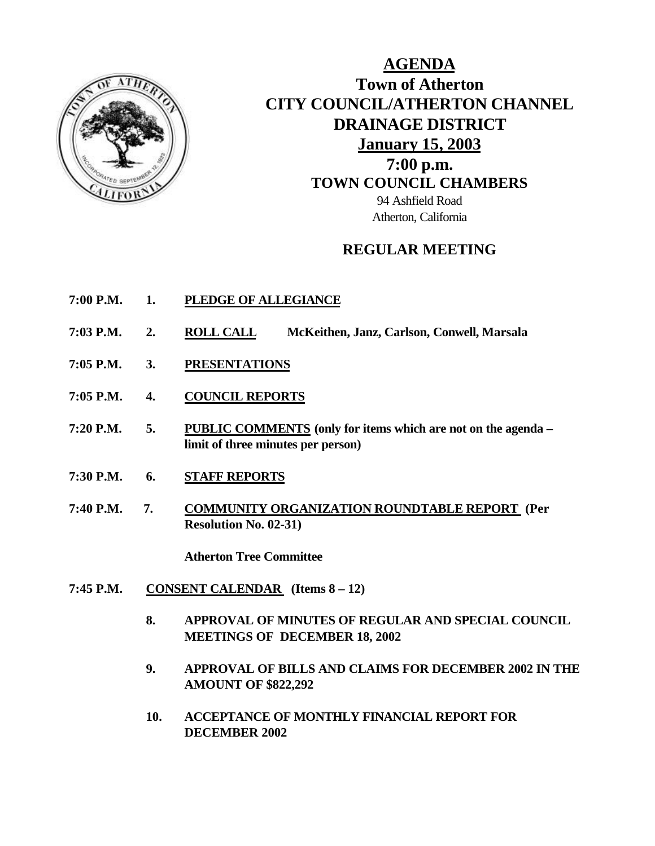

**AGENDA Town of Atherton CITY COUNCIL/ATHERTON CHANNEL DRAINAGE DISTRICT January 15, 2003 7:00 p.m. TOWN COUNCIL CHAMBERS** 94 Ashfield Road Atherton, California

# **REGULAR MEETING**

- **7:00 P.M. 1. PLEDGE OF ALLEGIANCE**
- **7:03 P.M. 2. ROLL CALL McKeithen, Janz, Carlson, Conwell, Marsala**
- **7:05 P.M. 3. PRESENTATIONS**
- **7:05 P.M. 4. COUNCIL REPORTS**
- **7:20 P.M. 5. PUBLIC COMMENTS (only for items which are not on the agenda – limit of three minutes per person)**
- **7:30 P.M. 6. STAFF REPORTS**
- **7:40 P.M. 7. COMMUNITY ORGANIZATION ROUNDTABLE REPORT (Per Resolution No. 02-31)**

**Atherton Tree Committee**

- **7:45 P.M. CONSENT CALENDAR (Items 8 12)**
	- **8. APPROVAL OF MINUTES OF REGULAR AND SPECIAL COUNCIL MEETINGS OF DECEMBER 18, 2002**
	- **9. APPROVAL OF BILLS AND CLAIMS FOR DECEMBER 2002 IN THE AMOUNT OF \$822,292**
	- **10. ACCEPTANCE OF MONTHLY FINANCIAL REPORT FOR DECEMBER 2002**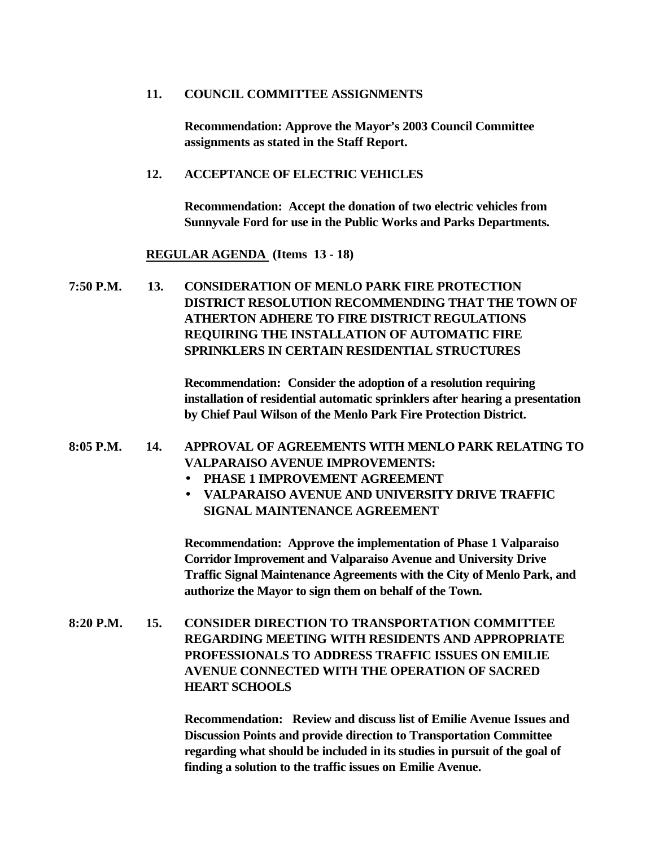#### **11. COUNCIL COMMITTEE ASSIGNMENTS**

**Recommendation: Approve the Mayor's 2003 Council Committee assignments as stated in the Staff Report.**

#### **12. ACCEPTANCE OF ELECTRIC VEHICLES**

**Recommendation: Accept the donation of two electric vehicles from Sunnyvale Ford for use in the Public Works and Parks Departments.**

### **REGULAR AGENDA (Items 13 - 18)**

**7:50 P.M. 13. CONSIDERATION OF MENLO PARK FIRE PROTECTION DISTRICT RESOLUTION RECOMMENDING THAT THE TOWN OF ATHERTON ADHERE TO FIRE DISTRICT REGULATIONS REQUIRING THE INSTALLATION OF AUTOMATIC FIRE SPRINKLERS IN CERTAIN RESIDENTIAL STRUCTURES**

> **Recommendation: Consider the adoption of a resolution requiring installation of residential automatic sprinklers after hearing a presentation by Chief Paul Wilson of the Menlo Park Fire Protection District.**

# **8:05 P.M. 14. APPROVAL OF AGREEMENTS WITH MENLO PARK RELATING TO VALPARAISO AVENUE IMPROVEMENTS:**

- **PHASE 1 IMPROVEMENT AGREEMENT**
- **VALPARAISO AVENUE AND UNIVERSITY DRIVE TRAFFIC SIGNAL MAINTENANCE AGREEMENT**

**Recommendation: Approve the implementation of Phase 1 Valparaiso Corridor Improvement and Valparaiso Avenue and University Drive Traffic Signal Maintenance Agreements with the City of Menlo Park, and authorize the Mayor to sign them on behalf of the Town.**

**8:20 P.M. 15. CONSIDER DIRECTION TO TRANSPORTATION COMMITTEE REGARDING MEETING WITH RESIDENTS AND APPROPRIATE PROFESSIONALS TO ADDRESS TRAFFIC ISSUES ON EMILIE AVENUE CONNECTED WITH THE OPERATION OF SACRED HEART SCHOOLS**

> **Recommendation: Review and discuss list of Emilie Avenue Issues and Discussion Points and provide direction to Transportation Committee regarding what should be included in its studies in pursuit of the goal of finding a solution to the traffic issues on Emilie Avenue.**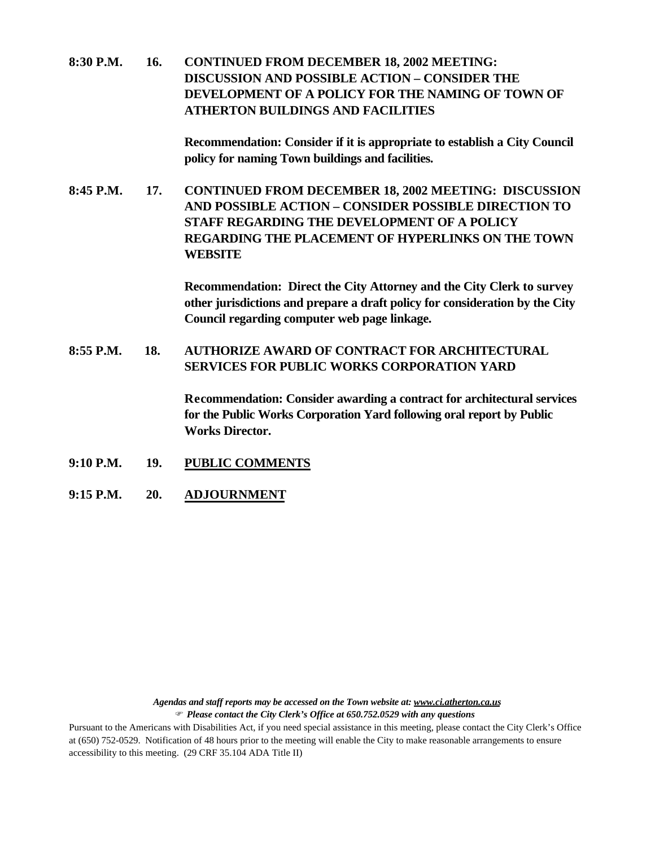**8:30 P.M. 16. CONTINUED FROM DECEMBER 18, 2002 MEETING: DISCUSSION AND POSSIBLE ACTION – CONSIDER THE DEVELOPMENT OF A POLICY FOR THE NAMING OF TOWN OF ATHERTON BUILDINGS AND FACILITIES**

> **Recommendation: Consider if it is appropriate to establish a City Council policy for naming Town buildings and facilities.**

**8:45 P.M. 17. CONTINUED FROM DECEMBER 18, 2002 MEETING: DISCUSSION AND POSSIBLE ACTION – CONSIDER POSSIBLE DIRECTION TO STAFF REGARDING THE DEVELOPMENT OF A POLICY REGARDING THE PLACEMENT OF HYPERLINKS ON THE TOWN WEBSITE**

> **Recommendation: Direct the City Attorney and the City Clerk to survey other jurisdictions and prepare a draft policy for consideration by the City Council regarding computer web page linkage.**

# **8:55 P.M. 18. AUTHORIZE AWARD OF CONTRACT FOR ARCHITECTURAL SERVICES FOR PUBLIC WORKS CORPORATION YARD**

**Recommendation: Consider awarding a contract for architectural services for the Public Works Corporation Yard following oral report by Public Works Director.**

- **9:10 P.M. 19. PUBLIC COMMENTS**
- **9:15 P.M. 20. ADJOURNMENT**

*Agendas and staff reports may be accessed on the Town website at: www.ci.atherton.ca.us*

F *Please contact the City Clerk's Office at 650.752.0529 with any questions*

Pursuant to the Americans with Disabilities Act, if you need special assistance in this meeting, please contact the City Clerk's Office at (650) 752-0529. Notification of 48 hours prior to the meeting will enable the City to make reasonable arrangements to ensure accessibility to this meeting. (29 CRF 35.104 ADA Title II)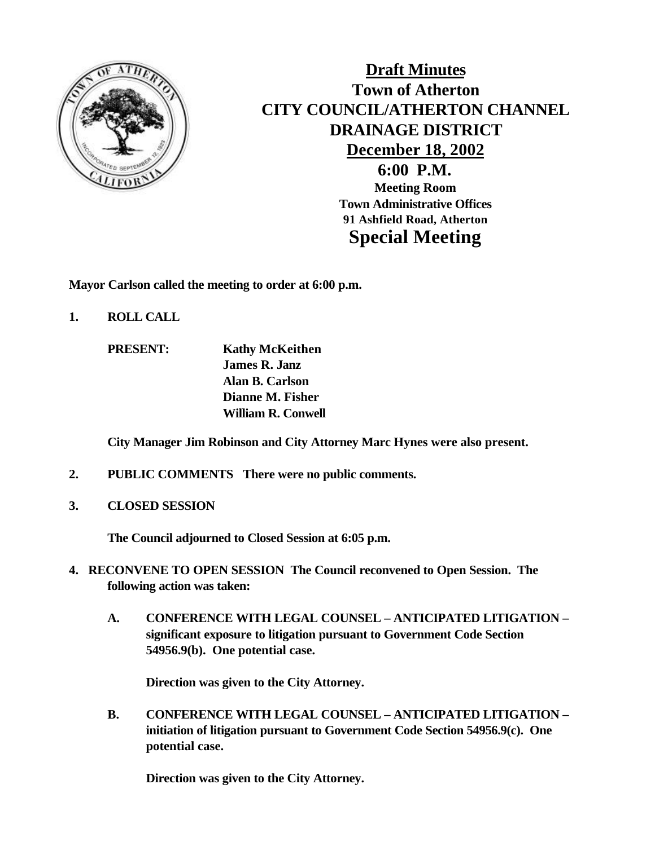

# **Draft Minutes Town of Atherton CITY COUNCIL/ATHERTON CHANNEL DRAINAGE DISTRICT December 18, 2002**

**6:00 P.M. Meeting Room Town Administrative Offices 91 Ashfield Road, Atherton Special Meeting**

**Mayor Carlson called the meeting to order at 6:00 p.m.**

- **1. ROLL CALL**
	- **PRESENT: Kathy McKeithen James R. Janz Alan B. Carlson Dianne M. Fisher William R. Conwell**

**City Manager Jim Robinson and City Attorney Marc Hynes were also present.**

- **2. PUBLIC COMMENTS There were no public comments.**
- **3. CLOSED SESSION**

**The Council adjourned to Closed Session at 6:05 p.m.**

- **4. RECONVENE TO OPEN SESSION The Council reconvened to Open Session. The following action was taken:**
	- **A. CONFERENCE WITH LEGAL COUNSEL ANTICIPATED LITIGATION – significant exposure to litigation pursuant to Government Code Section 54956.9(b). One potential case.**

**Direction was given to the City Attorney.**

**B. CONFERENCE WITH LEGAL COUNSEL – ANTICIPATED LITIGATION – initiation of litigation pursuant to Government Code Section 54956.9(c). One potential case.**

**Direction was given to the City Attorney.**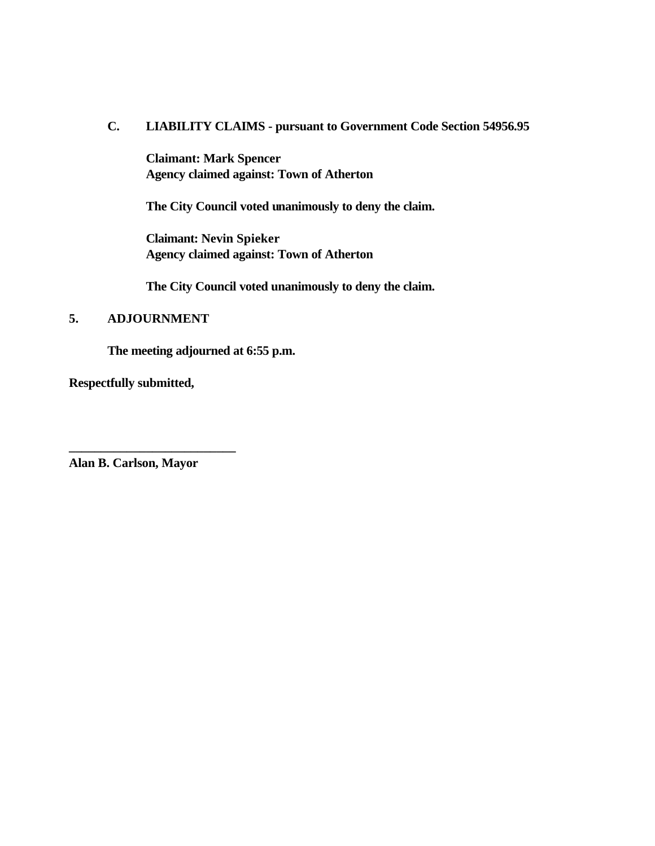### **C. LIABILITY CLAIMS - pursuant to Government Code Section 54956.95**

**Claimant: Mark Spencer Agency claimed against: Town of Atherton**

**The City Council voted unanimously to deny the claim.**

**Claimant: Nevin Spieker Agency claimed against: Town of Atherton**

**The City Council voted unanimously to deny the claim.**

# **5. ADJOURNMENT**

**The meeting adjourned at 6:55 p.m.**

**Respectfully submitted,**

**Alan B. Carlson, Mayor**

**\_\_\_\_\_\_\_\_\_\_\_\_\_\_\_\_\_\_\_\_\_\_\_\_\_\_**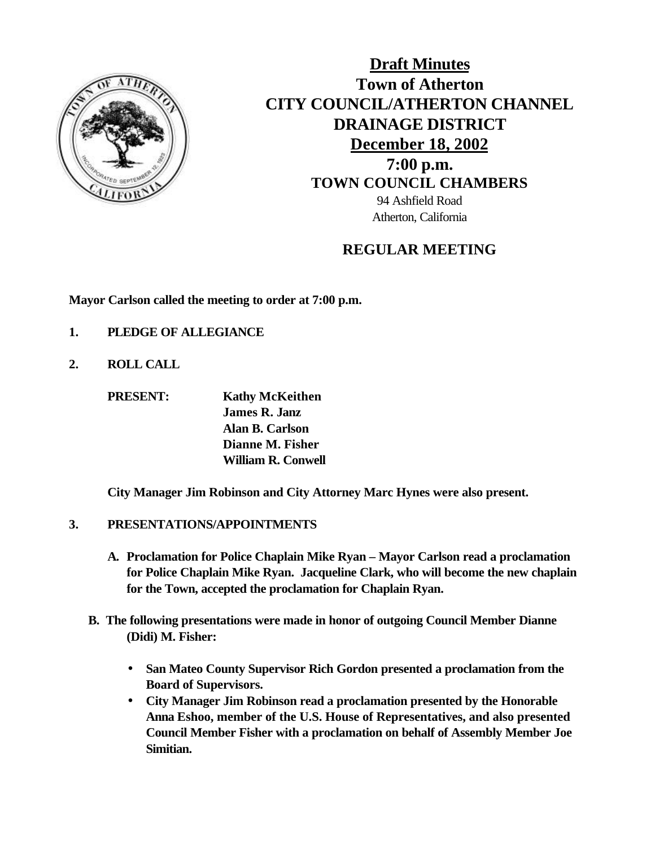

**Draft Minutes Town of Atherton CITY COUNCIL/ATHERTON CHANNEL DRAINAGE DISTRICT December 18, 2002 7:00 p.m. TOWN COUNCIL CHAMBERS** 94 Ashfield Road Atherton, California

# **REGULAR MEETING**

**Mayor Carlson called the meeting to order at 7:00 p.m.**

- **1. PLEDGE OF ALLEGIANCE**
- **2. ROLL CALL**

**PRESENT: Kathy McKeithen James R. Janz Alan B. Carlson Dianne M. Fisher William R. Conwell**

**City Manager Jim Robinson and City Attorney Marc Hynes were also present.**

# **3. PRESENTATIONS/APPOINTMENTS**

- **A. Proclamation for Police Chaplain Mike Ryan Mayor Carlson read a proclamation for Police Chaplain Mike Ryan. Jacqueline Clark, who will become the new chaplain for the Town, accepted the proclamation for Chaplain Ryan.**
- **B. The following presentations were made in honor of outgoing Council Member Dianne (Didi) M. Fisher:**
	- **San Mateo County Supervisor Rich Gordon presented a proclamation from the Board of Supervisors.**
	- **City Manager Jim Robinson read a proclamation presented by the Honorable Anna Eshoo, member of the U.S. House of Representatives, and also presented Council Member Fisher with a proclamation on behalf of Assembly Member Joe Simitian.**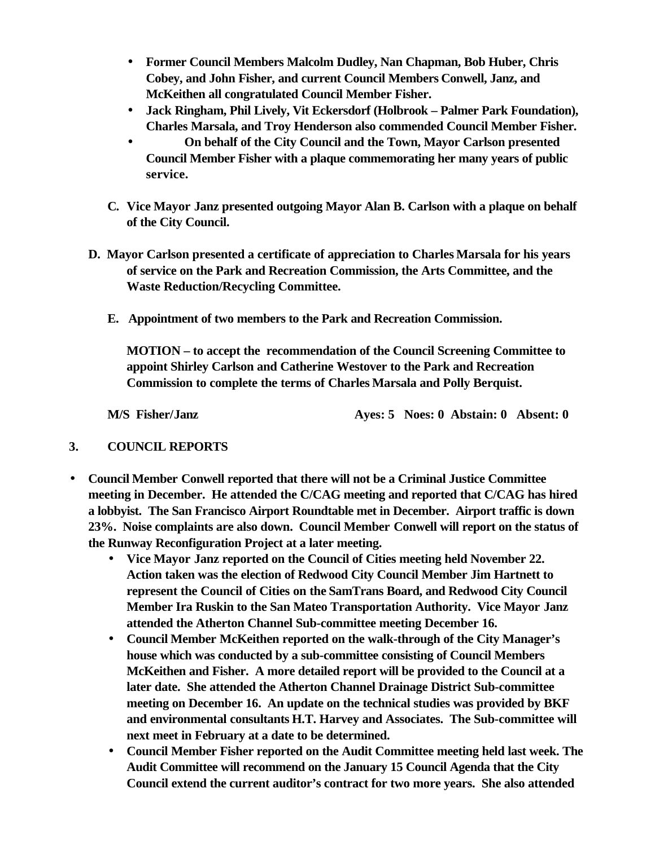- **Former Council Members Malcolm Dudley, Nan Chapman, Bob Huber, Chris Cobey, and John Fisher, and current Council Members Conwell, Janz, and McKeithen all congratulated Council Member Fisher.**
- **Jack Ringham, Phil Lively, Vit Eckersdorf (Holbrook Palmer Park Foundation), Charles Marsala, and Troy Henderson also commended Council Member Fisher.**
- **On behalf of the City Council and the Town, Mayor Carlson presented Council Member Fisher with a plaque commemorating her many years of public service.**
- **C. Vice Mayor Janz presented outgoing Mayor Alan B. Carlson with a plaque on behalf of the City Council.**
- **D. Mayor Carlson presented a certificate of appreciation to Charles Marsala for his years of service on the Park and Recreation Commission, the Arts Committee, and the Waste Reduction/Recycling Committee.**
	- **E. Appointment of two members to the Park and Recreation Commission.**

**MOTION – to accept the recommendation of the Council Screening Committee to appoint Shirley Carlson and Catherine Westover to the Park and Recreation Commission to complete the terms of Charles Marsala and Polly Berquist.**

**M/S Fisher/Janz Ayes: 5 Noes: 0 Abstain: 0 Absent: 0**

# **3. COUNCIL REPORTS**

- **Council Member Conwell reported that there will not be a Criminal Justice Committee meeting in December. He attended the C/CAG meeting and reported that C/CAG has hired a lobbyist. The San Francisco Airport Roundtable met in December. Airport traffic is down 23%. Noise complaints are also down. Council Member Conwell will report on the status of the Runway Reconfiguration Project at a later meeting.**
	- **Vice Mayor Janz reported on the Council of Cities meeting held November 22. Action taken was the election of Redwood City Council Member Jim Hartnett to represent the Council of Cities on the SamTrans Board, and Redwood City Council Member Ira Ruskin to the San Mateo Transportation Authority. Vice Mayor Janz attended the Atherton Channel Sub-committee meeting December 16.**
	- **Council Member McKeithen reported on the walk-through of the City Manager's house which was conducted by a sub-committee consisting of Council Members McKeithen and Fisher. A more detailed report will be provided to the Council at a later date. She attended the Atherton Channel Drainage District Sub-committee meeting on December 16. An update on the technical studies was provided by BKF and environmental consultants H.T. Harvey and Associates. The Sub-committee will next meet in February at a date to be determined.**
	- **Council Member Fisher reported on the Audit Committee meeting held last week. The Audit Committee will recommend on the January 15 Council Agenda that the City Council extend the current auditor's contract for two more years. She also attended**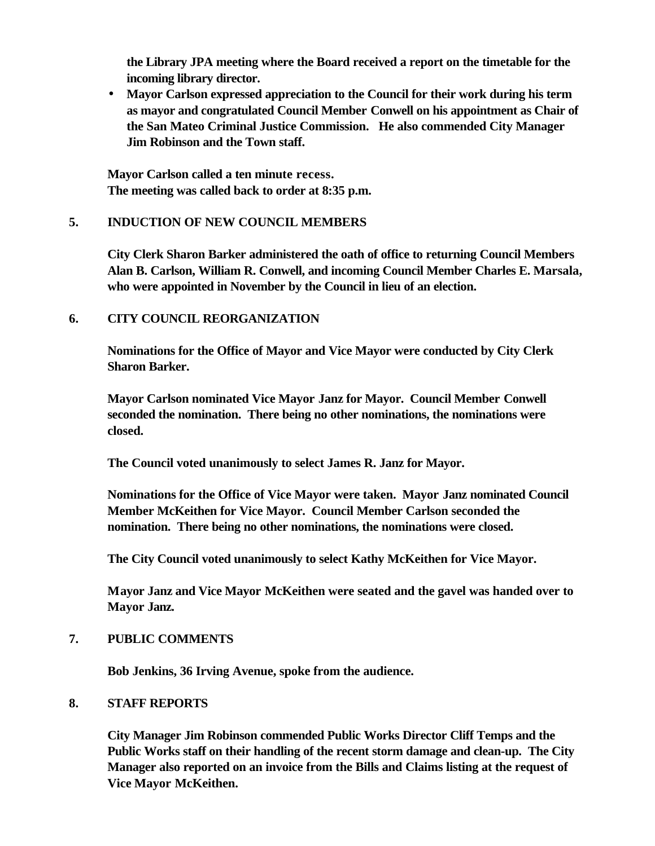**the Library JPA meeting where the Board received a report on the timetable for the incoming library director.**

• **Mayor Carlson expressed appreciation to the Council for their work during his term as mayor and congratulated Council Member Conwell on his appointment as Chair of the San Mateo Criminal Justice Commission. He also commended City Manager Jim Robinson and the Town staff.**

**Mayor Carlson called a ten minute recess. The meeting was called back to order at 8:35 p.m.**

### **5. INDUCTION OF NEW COUNCIL MEMBERS**

**City Clerk Sharon Barker administered the oath of office to returning Council Members Alan B. Carlson, William R. Conwell, and incoming Council Member Charles E. Marsala, who were appointed in November by the Council in lieu of an election.**

### **6. CITY COUNCIL REORGANIZATION**

**Nominations for the Office of Mayor and Vice Mayor were conducted by City Clerk Sharon Barker.**

**Mayor Carlson nominated Vice Mayor Janz for Mayor. Council Member Conwell seconded the nomination. There being no other nominations, the nominations were closed.**

**The Council voted unanimously to select James R. Janz for Mayor.**

**Nominations for the Office of Vice Mayor were taken. Mayor Janz nominated Council Member McKeithen for Vice Mayor. Council Member Carlson seconded the nomination. There being no other nominations, the nominations were closed.**

**The City Council voted unanimously to select Kathy McKeithen for Vice Mayor.**

**Mayor Janz and Vice Mayor McKeithen were seated and the gavel was handed over to Mayor Janz.**

### **7. PUBLIC COMMENTS**

**Bob Jenkins, 36 Irving Avenue, spoke from the audience.**

### **8. STAFF REPORTS**

**City Manager Jim Robinson commended Public Works Director Cliff Temps and the Public Works staff on their handling of the recent storm damage and clean-up. The City Manager also reported on an invoice from the Bills and Claims listing at the request of Vice Mayor McKeithen.**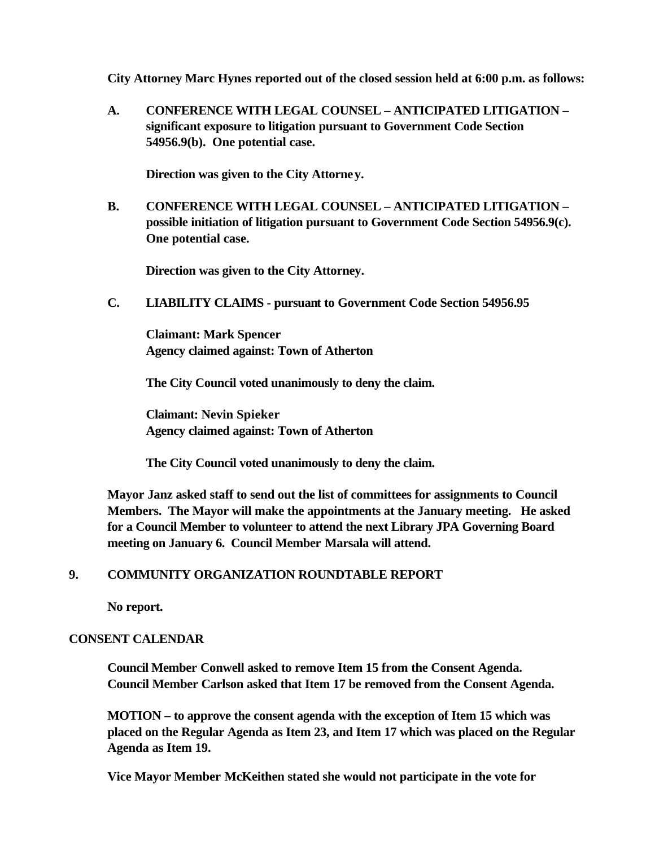**City Attorney Marc Hynes reported out of the closed session held at 6:00 p.m. as follows:**

**A. CONFERENCE WITH LEGAL COUNSEL – ANTICIPATED LITIGATION – significant exposure to litigation pursuant to Government Code Section 54956.9(b). One potential case.**

**Direction was given to the City Attorney.**

**B. CONFERENCE WITH LEGAL COUNSEL – ANTICIPATED LITIGATION – possible initiation of litigation pursuant to Government Code Section 54956.9(c). One potential case.**

**Direction was given to the City Attorney.**

 **C. LIABILITY CLAIMS - pursuant to Government Code Section 54956.95**

**Claimant: Mark Spencer Agency claimed against: Town of Atherton**

**The City Council voted unanimously to deny the claim.**

**Claimant: Nevin Spieker Agency claimed against: Town of Atherton**

**The City Council voted unanimously to deny the claim.**

**Mayor Janz asked staff to send out the list of committees for assignments to Council Members. The Mayor will make the appointments at the January meeting. He asked for a Council Member to volunteer to attend the next Library JPA Governing Board meeting on January 6. Council Member Marsala will attend.**

# **9. COMMUNITY ORGANIZATION ROUNDTABLE REPORT**

**No report.**

### **CONSENT CALENDAR**

**Council Member Conwell asked to remove Item 15 from the Consent Agenda. Council Member Carlson asked that Item 17 be removed from the Consent Agenda.**

**MOTION – to approve the consent agenda with the exception of Item 15 which was placed on the Regular Agenda as Item 23, and Item 17 which was placed on the Regular Agenda as Item 19.**

**Vice Mayor Member McKeithen stated she would not participate in the vote for**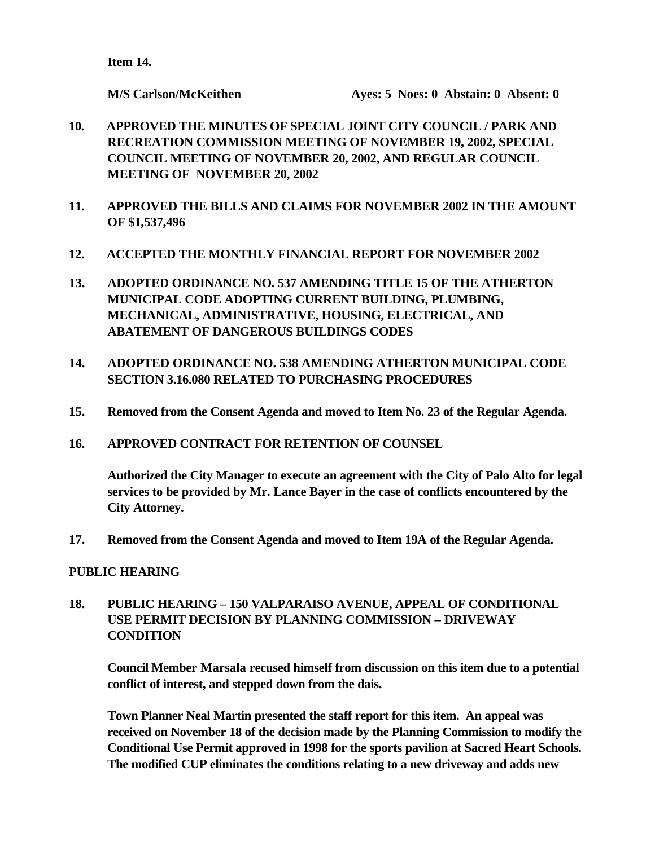**Item 14.**

- **10. APPROVED THE MINUTES OF SPECIAL JOINT CITY COUNCIL / PARK AND RECREATION COMMISSION MEETING OF NOVEMBER 19, 2002, SPECIAL COUNCIL MEETING OF NOVEMBER 20, 2002, AND REGULAR COUNCIL MEETING OF NOVEMBER 20, 2002**
- **11. APPROVED THE BILLS AND CLAIMS FOR NOVEMBER 2002 IN THE AMOUNT OF \$1,537,496**
- **12. ACCEPTED THE MONTHLY FINANCIAL REPORT FOR NOVEMBER 2002**
- **13. ADOPTED ORDINANCE NO. 537 AMENDING TITLE 15 OF THE ATHERTON MUNICIPAL CODE ADOPTING CURRENT BUILDING, PLUMBING, MECHANICAL, ADMINISTRATIVE, HOUSING, ELECTRICAL, AND ABATEMENT OF DANGEROUS BUILDINGS CODES**
- **14. ADOPTED ORDINANCE NO. 538 AMENDING ATHERTON MUNICIPAL CODE SECTION 3.16.080 RELATED TO PURCHASING PROCEDURES**
- **15. Removed from the Consent Agenda and moved to Item No. 23 of the Regular Agenda.**
- **16. APPROVED CONTRACT FOR RETENTION OF COUNSEL**

**Authorized the City Manager to execute an agreement with the City of Palo Alto for legal services to be provided by Mr. Lance Bayer in the case of conflicts encountered by the City Attorney.**

**17. Removed from the Consent Agenda and moved to Item 19A of the Regular Agenda.**

# **PUBLIC HEARING**

# **18. PUBLIC HEARING – 150 VALPARAISO AVENUE, APPEAL OF CONDITIONAL USE PERMIT DECISION BY PLANNING COMMISSION – DRIVEWAY CONDITION**

**Council Member Marsala recused himself from discussion on this item due to a potential conflict of interest, and stepped down from the dais.**

**Town Planner Neal Martin presented the staff report for this item. An appeal was received on November 18 of the decision made by the Planning Commission to modify the Conditional Use Permit approved in 1998 for the sports pavilion at Sacred Heart Schools. The modified CUP eliminates the conditions relating to a new driveway and adds new**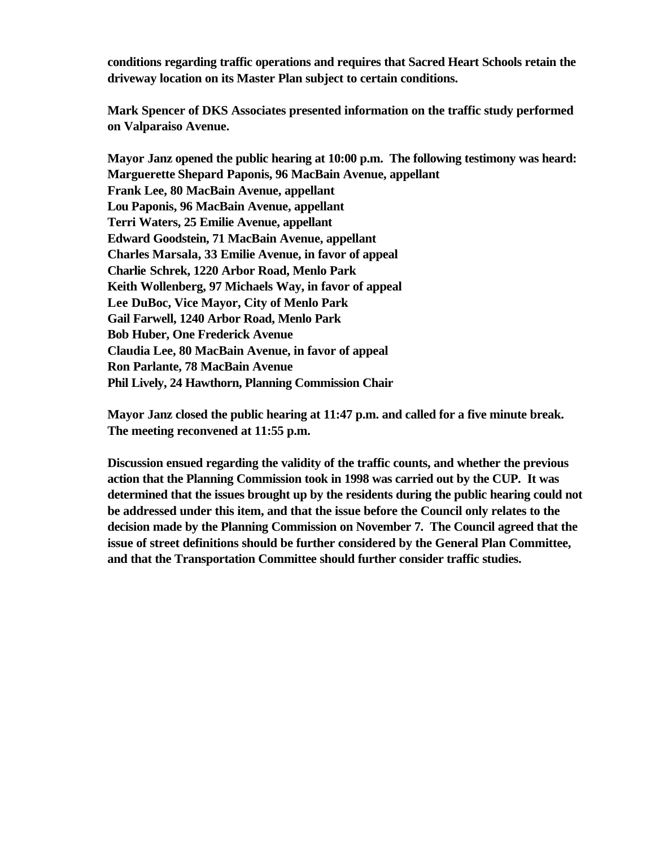**conditions regarding traffic operations and requires that Sacred Heart Schools retain the driveway location on its Master Plan subject to certain conditions.**

**Mark Spencer of DKS Associates presented information on the traffic study performed on Valparaiso Avenue.**

**Mayor Janz opened the public hearing at 10:00 p.m. The following testimony was heard: Marguerette Shepard Paponis, 96 MacBain Avenue, appellant Frank Lee, 80 MacBain Avenue, appellant Lou Paponis, 96 MacBain Avenue, appellant Terri Waters, 25 Emilie Avenue, appellant Edward Goodstein, 71 MacBain Avenue, appellant Charles Marsala, 33 Emilie Avenue, in favor of appeal Charlie Schrek, 1220 Arbor Road, Menlo Park Keith Wollenberg, 97 Michaels Way, in favor of appeal Lee DuBoc, Vice Mayor, City of Menlo Park Gail Farwell, 1240 Arbor Road, Menlo Park Bob Huber, One Frederick Avenue Claudia Lee, 80 MacBain Avenue, in favor of appeal Ron Parlante, 78 MacBain Avenue Phil Lively, 24 Hawthorn, Planning Commission Chair**

**Mayor Janz closed the public hearing at 11:47 p.m. and called for a five minute break. The meeting reconvened at 11:55 p.m.**

**Discussion ensued regarding the validity of the traffic counts, and whether the previous action that the Planning Commission took in 1998 was carried out by the CUP. It was determined that the issues brought up by the residents during the public hearing could not be addressed under this item, and that the issue before the Council only relates to the decision made by the Planning Commission on November 7. The Council agreed that the issue of street definitions should be further considered by the General Plan Committee, and that the Transportation Committee should further consider traffic studies.**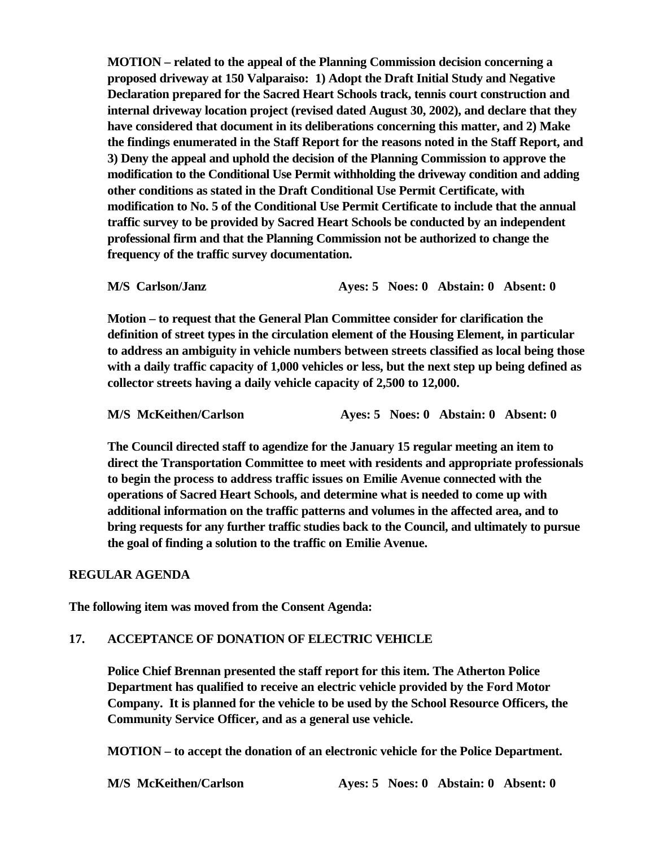**MOTION – related to the appeal of the Planning Commission decision concerning a proposed driveway at 150 Valparaiso: 1) Adopt the Draft Initial Study and Negative Declaration prepared for the Sacred Heart Schools track, tennis court construction and internal driveway location project (revised dated August 30, 2002), and declare that they have considered that document in its deliberations concerning this matter, and 2) Make the findings enumerated in the Staff Report for the reasons noted in the Staff Report, and 3) Deny the appeal and uphold the decision of the Planning Commission to approve the modification to the Conditional Use Permit withholding the driveway condition and adding other conditions as stated in the Draft Conditional Use Permit Certificate, with modification to No. 5 of the Conditional Use Permit Certificate to include that the annual traffic survey to be provided by Sacred Heart Schools be conducted by an independent professional firm and that the Planning Commission not be authorized to change the frequency of the traffic survey documentation.**

**M/S Carlson/Janz Ayes: 5 Noes: 0 Abstain: 0 Absent: 0**

**Motion – to request that the General Plan Committee consider for clarification the definition of street types in the circulation element of the Housing Element, in particular to address an ambiguity in vehicle numbers between streets classified as local being those with a daily traffic capacity of 1,000 vehicles or less, but the next step up being defined as collector streets having a daily vehicle capacity of 2,500 to 12,000.**

| M/S McKeithen/Carlson |  | Aves: 5 Noes: 0 Abstain: 0 Absent: 0 |  |
|-----------------------|--|--------------------------------------|--|
|                       |  |                                      |  |

**The Council directed staff to agendize for the January 15 regular meeting an item to direct the Transportation Committee to meet with residents and appropriate professionals to begin the process to address traffic issues on Emilie Avenue connected with the operations of Sacred Heart Schools, and determine what is needed to come up with additional information on the traffic patterns and volumes in the affected area, and to bring requests for any further traffic studies back to the Council, and ultimately to pursue the goal of finding a solution to the traffic on Emilie Avenue.**

### **REGULAR AGENDA**

**The following item was moved from the Consent Agenda:**

### **17. ACCEPTANCE OF DONATION OF ELECTRIC VEHICLE**

**Police Chief Brennan presented the staff report for this item. The Atherton Police Department has qualified to receive an electric vehicle provided by the Ford Motor Company. It is planned for the vehicle to be used by the School Resource Officers, the Community Service Officer, and as a general use vehicle.**

**MOTION – to accept the donation of an electronic vehicle for the Police Department.**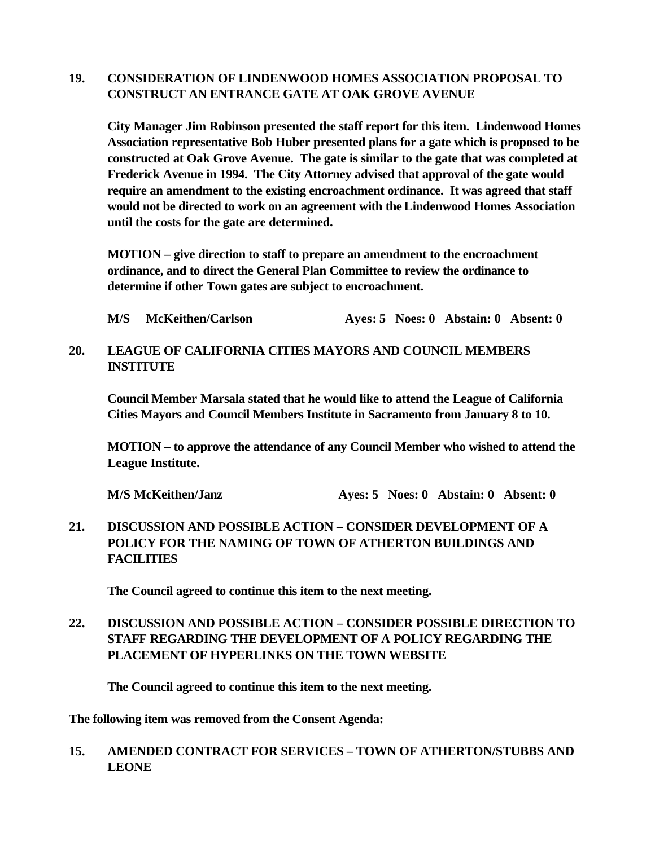# **19. CONSIDERATION OF LINDENWOOD HOMES ASSOCIATION PROPOSAL TO CONSTRUCT AN ENTRANCE GATE AT OAK GROVE AVENUE**

**City Manager Jim Robinson presented the staff report for this item. Lindenwood Homes Association representative Bob Huber presented plans for a gate which is proposed to be constructed at Oak Grove Avenue. The gate is similar to the gate that was completed at Frederick Avenue in 1994. The City Attorney advised that approval of the gate would require an amendment to the existing encroachment ordinance. It was agreed that staff would not be directed to work on an agreement with the Lindenwood Homes Association until the costs for the gate are determined.**

**MOTION – give direction to staff to prepare an amendment to the encroachment ordinance, and to direct the General Plan Committee to review the ordinance to determine if other Town gates are subject to encroachment.**

**M/S McKeithen/Carlson Ayes: 5 Noes: 0 Abstain: 0 Absent: 0**

### **20. LEAGUE OF CALIFORNIA CITIES MAYORS AND COUNCIL MEMBERS INSTITUTE**

**Council Member Marsala stated that he would like to attend the League of California Cities Mayors and Council Members Institute in Sacramento from January 8 to 10.**

**MOTION – to approve the attendance of any Council Member who wished to attend the League Institute.**

**M/S McKeithen/Janz Ayes: 5 Noes: 0 Abstain: 0 Absent: 0**

**21. DISCUSSION AND POSSIBLE ACTION – CONSIDER DEVELOPMENT OF A POLICY FOR THE NAMING OF TOWN OF ATHERTON BUILDINGS AND FACILITIES**

**The Council agreed to continue this item to the next meeting.**

# **22. DISCUSSION AND POSSIBLE ACTION – CONSIDER POSSIBLE DIRECTION TO STAFF REGARDING THE DEVELOPMENT OF A POLICY REGARDING THE PLACEMENT OF HYPERLINKS ON THE TOWN WEBSITE**

**The Council agreed to continue this item to the next meeting.**

**The following item was removed from the Consent Agenda:**

# **15. AMENDED CONTRACT FOR SERVICES – TOWN OF ATHERTON/STUBBS AND LEONE**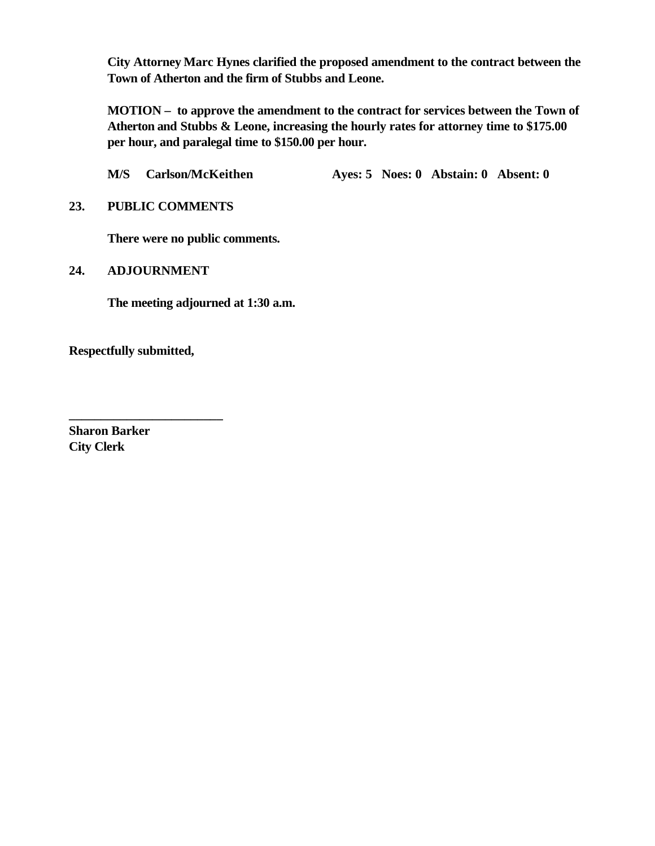**City Attorney Marc Hynes clarified the proposed amendment to the contract between the Town of Atherton and the firm of Stubbs and Leone.**

**MOTION – to approve the amendment to the contract for services between the Town of Atherton and Stubbs & Leone, increasing the hourly rates for attorney time to \$175.00 per hour, and paralegal time to \$150.00 per hour.**

**M/S Carlson/McKeithen Ayes: 5 Noes: 0 Abstain: 0 Absent: 0**

**23. PUBLIC COMMENTS**

**There were no public comments.**

**24. ADJOURNMENT**

**The meeting adjourned at 1:30 a.m.**

**Respectfully submitted,**

**\_\_\_\_\_\_\_\_\_\_\_\_\_\_\_\_\_\_\_\_\_\_\_\_**

**Sharon Barker City Clerk**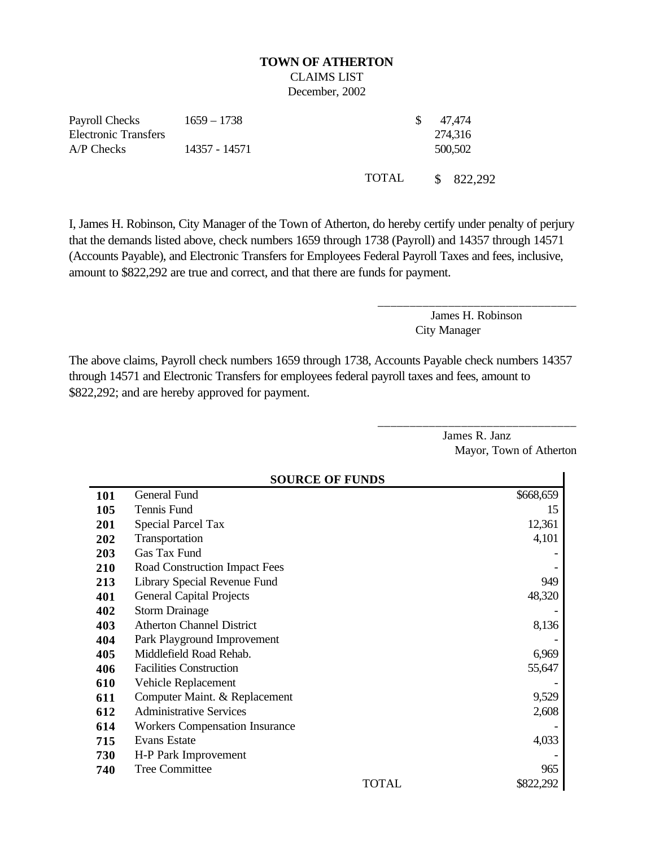# **TOWN OF ATHERTON** CLAIMS LIST

December, 2002

| Payroll Checks              | 1659 – 1738   |        | 47.474    |
|-----------------------------|---------------|--------|-----------|
| <b>Electronic Transfers</b> |               |        | 274,316   |
| $A/P$ Checks                | 14357 - 14571 |        | 500,502   |
|                             |               | TOTAL. | \$822,292 |

I, James H. Robinson, City Manager of the Town of Atherton, do hereby certify under penalty of perjury that the demands listed above, check numbers 1659 through 1738 (Payroll) and 14357 through 14571 (Accounts Payable), and Electronic Transfers for Employees Federal Payroll Taxes and fees, inclusive, amount to \$822,292 are true and correct, and that there are funds for payment.

> James H. Robinson City Manager

\_\_\_\_\_\_\_\_\_\_\_\_\_\_\_\_\_\_\_\_\_\_\_\_\_\_\_\_\_\_\_

\_\_\_\_\_\_\_\_\_\_\_\_\_\_\_\_\_\_\_\_\_\_\_\_\_\_\_\_\_\_\_

The above claims, Payroll check numbers 1659 through 1738, Accounts Payable check numbers 14357 through 14571 and Electronic Transfers for employees federal payroll taxes and fees, amount to \$822,292; and are hereby approved for payment.

|     | <b>SOURCE OF FUNDS</b>                |           |  |  |  |  |
|-----|---------------------------------------|-----------|--|--|--|--|
| 101 | General Fund                          | \$668,659 |  |  |  |  |
| 105 | Tennis Fund                           | 15        |  |  |  |  |
| 201 | <b>Special Parcel Tax</b>             | 12,361    |  |  |  |  |
| 202 | Transportation                        | 4,101     |  |  |  |  |
| 203 | Gas Tax Fund                          |           |  |  |  |  |
| 210 | Road Construction Impact Fees         |           |  |  |  |  |
| 213 | Library Special Revenue Fund          | 949       |  |  |  |  |
| 401 | <b>General Capital Projects</b>       | 48,320    |  |  |  |  |
| 402 | <b>Storm Drainage</b>                 |           |  |  |  |  |
| 403 | <b>Atherton Channel District</b>      | 8,136     |  |  |  |  |
| 404 | Park Playground Improvement           |           |  |  |  |  |
| 405 | Middlefield Road Rehab.               | 6,969     |  |  |  |  |
| 406 | <b>Facilities Construction</b>        | 55,647    |  |  |  |  |
| 610 | Vehicle Replacement                   |           |  |  |  |  |
| 611 | Computer Maint. & Replacement         | 9,529     |  |  |  |  |
| 612 | <b>Administrative Services</b>        | 2,608     |  |  |  |  |
| 614 | <b>Workers Compensation Insurance</b> |           |  |  |  |  |
| 715 | <b>Evans Estate</b>                   | 4,033     |  |  |  |  |
| 730 | H-P Park Improvement                  |           |  |  |  |  |
| 740 | <b>Tree Committee</b>                 | 965       |  |  |  |  |
|     | TOTAL                                 | \$822,292 |  |  |  |  |

James R. Janz Mayor, Town of Atherton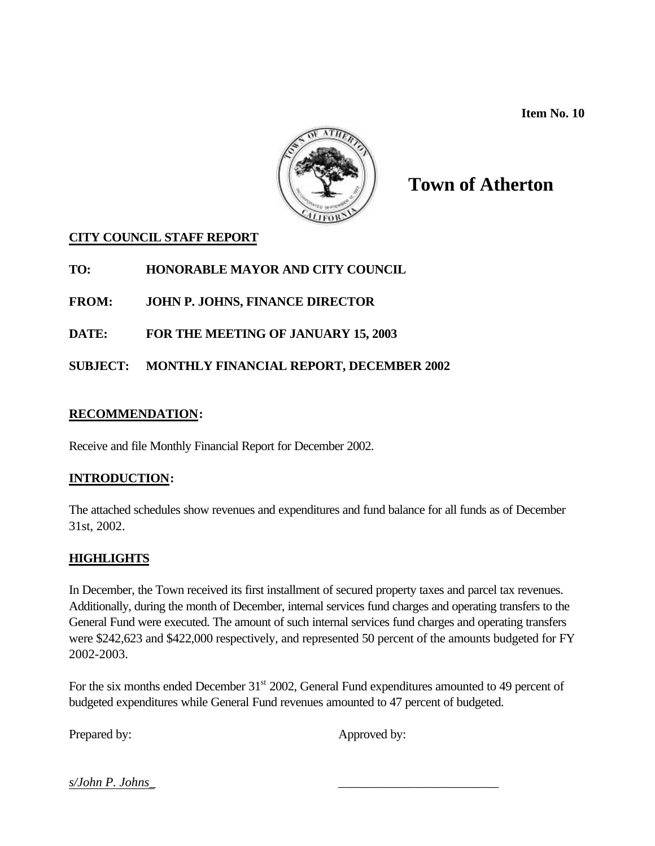**Item No. 10**



# **Town of Atherton**

# **CITY COUNCIL STAFF REPORT**

**TO: HONORABLE MAYOR AND CITY COUNCIL**

**FROM: JOHN P. JOHNS, FINANCE DIRECTOR**

**DATE: FOR THE MEETING OF JANUARY 15, 2003**

# **SUBJECT: MONTHLY FINANCIAL REPORT, DECEMBER 2002**

# **RECOMMENDATION:**

Receive and file Monthly Financial Report for December 2002.

# **INTRODUCTION:**

The attached schedules show revenues and expenditures and fund balance for all funds as of December 31st, 2002.

# **HIGHLIGHTS**

In December, the Town received its first installment of secured property taxes and parcel tax revenues. Additionally, during the month of December, internal services fund charges and operating transfers to the General Fund were executed. The amount of such internal services fund charges and operating transfers were \$242,623 and \$422,000 respectively, and represented 50 percent of the amounts budgeted for FY 2002-2003.

For the six months ended December 31<sup>st</sup> 2002, General Fund expenditures amounted to 49 percent of budgeted expenditures while General Fund revenues amounted to 47 percent of budgeted.

Prepared by: Approved by:

*s/John P. Johns\_* \_\_\_\_\_\_\_\_\_\_\_\_\_\_\_\_\_\_\_\_\_\_\_\_\_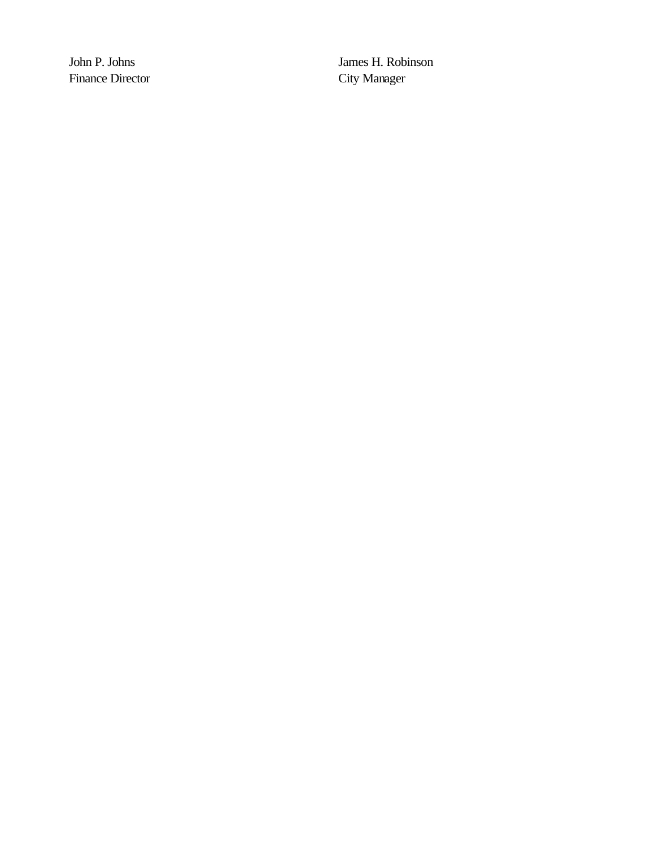Finance Director City Manager

John P. Johns James H. Robinson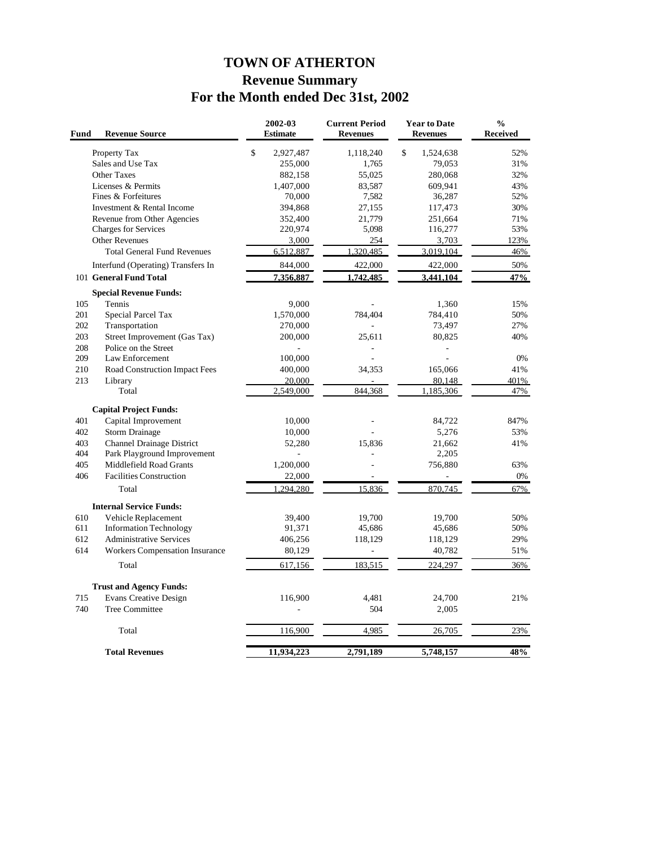# **TOWN OF ATHERTON Revenue Summary For the Month ended Dec 31st, 2002**

| Fund | <b>Revenue Source</b>                 | 2002-03<br><b>Estimate</b> | <b>Current Period</b><br><b>Revenues</b> | <b>Year to Date</b><br><b>Revenues</b> | $\frac{0}{0}$<br><b>Received</b> |
|------|---------------------------------------|----------------------------|------------------------------------------|----------------------------------------|----------------------------------|
|      | Property Tax                          | \$<br>2,927,487            | 1,118,240                                | \$<br>1,524,638                        | 52%                              |
|      | Sales and Use Tax                     | 255,000                    | 1,765                                    | 79,053                                 | 31%                              |
|      | <b>Other Taxes</b>                    | 882,158                    | 55,025                                   | 280,068                                | 32%                              |
|      | Licenses & Permits                    | 1,407,000                  | 83,587                                   | 609,941                                | 43%                              |
|      | Fines & Forfeitures                   | 70,000                     | 7,582                                    | 36,287                                 | 52%                              |
|      | Investment & Rental Income            | 394,868                    | 27,155                                   | 117,473                                | 30%                              |
|      | Revenue from Other Agencies           | 352,400                    | 21,779                                   | 251,664                                | 71%                              |
|      | <b>Charges for Services</b>           | 220,974                    | 5,098                                    | 116,277                                | 53%                              |
|      | Other Revenues                        | 3,000                      | 254                                      | 3,703                                  | 123%                             |
|      | <b>Total General Fund Revenues</b>    | 6,512,887                  | 1,320,485                                | 3,019,104                              | 46%                              |
|      | Interfund (Operating) Transfers In    | 844,000                    | 422,000                                  | 422,000                                | $50\%$                           |
|      | 101 General Fund Total                | 7,356,887                  | 1,742,485                                | 3,441,104                              | 47%                              |
|      | <b>Special Revenue Funds:</b>         |                            |                                          |                                        |                                  |
| 105  | Tennis                                | 9,000                      |                                          | 1,360                                  | 15%                              |
| 201  | Special Parcel Tax                    | 1,570,000                  | 784,404                                  | 784,410                                | 50%                              |
| 202  | Transportation                        | 270,000                    |                                          | 73,497                                 | 27%                              |
| 203  | Street Improvement (Gas Tax)          | 200,000                    | 25,611                                   | 80,825                                 | 40%                              |
| 208  | Police on the Street                  |                            |                                          | $\overline{a}$                         |                                  |
| 209  | Law Enforcement                       | 100,000                    | $\overline{a}$                           | $\overline{a}$                         | 0%                               |
| 210  | Road Construction Impact Fees         | 400,000                    | 34,353                                   | 165,066                                | 41%                              |
| 213  | Library                               | 20,000                     |                                          | 80,148                                 | 401%                             |
|      | Total                                 | 2,549,000                  | 844.368                                  | 1,185,306                              | 47%                              |
|      | <b>Capital Project Funds:</b>         |                            |                                          |                                        |                                  |
| 401  | Capital Improvement                   | 10,000                     |                                          | 84,722                                 | 847%                             |
| 402  | <b>Storm Drainage</b>                 | 10,000                     |                                          | 5,276                                  | 53%                              |
| 403  | Channel Drainage District             | 52,280                     | 15,836                                   | 21.662                                 | 41%                              |
| 404  | Park Playground Improvement           | $\sim$                     |                                          | 2,205                                  |                                  |
| 405  | Middlefield Road Grants               | 1,200,000                  |                                          | 756,880                                | 63%                              |
| 406  | <b>Facilities Construction</b>        | 22,000                     |                                          |                                        | 0%                               |
|      | Total                                 | 1,294,280                  | 15,836                                   | 870,745                                | 67%                              |
|      | <b>Internal Service Funds:</b>        |                            |                                          |                                        |                                  |
| 610  | Vehicle Replacement                   | 39,400                     | 19,700                                   | 19,700                                 | 50%                              |
| 611  | <b>Information Technology</b>         | 91,371                     | 45,686                                   | 45,686                                 | 50%                              |
| 612  | <b>Administrative Services</b>        | 406,256                    | 118,129                                  | 118,129                                | 29%                              |
| 614  | <b>Workers Compensation Insurance</b> | 80,129                     | $\frac{1}{2}$                            | 40,782                                 | 51%                              |
|      | Total                                 | 617,156                    | 183,515                                  | 224,297                                | 36%                              |
|      |                                       |                            |                                          |                                        |                                  |
|      | <b>Trust and Agency Funds:</b>        |                            |                                          |                                        |                                  |
| 715  | <b>Evans Creative Design</b>          | 116,900                    | 4,481                                    | 24,700                                 | 21%                              |
| 740  | <b>Tree Committee</b>                 |                            | 504                                      | 2,005                                  |                                  |
|      | Total                                 | 116,900                    | 4,985                                    | 26,705                                 | 23%                              |
|      |                                       |                            |                                          |                                        |                                  |
|      | <b>Total Revenues</b>                 | 11,934,223                 | 2,791,189                                | 5,748,157                              | 48%                              |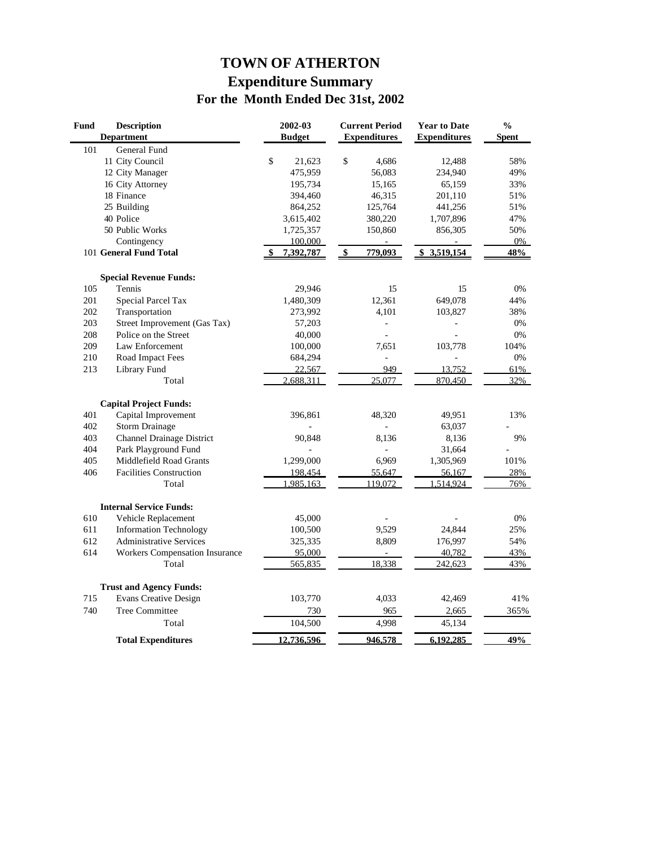# **TOWN OF ATHERTON Expenditure Summary For the Month Ended Dec 31st, 2002**

| <b>Fund</b> | <b>Description</b>                    | 2002-03       | <b>Current Period</b> | <b>Year to Date</b> | $\frac{0}{0}$ |
|-------------|---------------------------------------|---------------|-----------------------|---------------------|---------------|
|             | <b>Department</b>                     | <b>Budget</b> | <b>Expenditures</b>   | <b>Expenditures</b> | <b>Spent</b>  |
| 101         | <b>General Fund</b>                   |               |                       |                     |               |
|             | 11 City Council                       | \$<br>21,623  | \$<br>4.686           | 12,488              | 58%           |
|             | 12 City Manager                       | 475,959       | 56,083                | 234,940             | 49%           |
|             | 16 City Attorney                      | 195,734       | 15,165                | 65,159              | 33%           |
|             | 18 Finance                            | 394,460       | 46,315                | 201,110             | 51%           |
|             | 25 Building                           | 864,252       | 125,764               | 441,256             | 51%           |
|             | 40 Police                             | 3,615,402     | 380,220               | 1,707,896           | 47%           |
|             | 50 Public Works                       | 1,725,357     | 150,860               | 856,305             | 50%           |
|             | Contingency                           | 100,000       |                       |                     | 0%            |
|             | 101 General Fund Total                | 7,392,787     | 779,093<br>\$         | \$3,519,154         | 48%           |
|             | <b>Special Revenue Funds:</b>         |               |                       |                     |               |
| 105         | Tennis                                | 29,946        | 15                    | 15                  | 0%            |
| 201         | <b>Special Parcel Tax</b>             | 1,480,309     | 12,361                | 649,078             | 44%           |
| 202         | Transportation                        | 273,992       | 4,101                 | 103,827             | 38%           |
| 203         | Street Improvement (Gas Tax)          | 57,203        |                       |                     | 0%            |
| 208         | Police on the Street                  | 40,000        | $\overline{a}$        |                     | 0%            |
| 209         | Law Enforcement                       | 100,000       | 7,651                 | 103,778             | 104%          |
| 210         | Road Impact Fees                      | 684,294       | $\overline{a}$        |                     | 0%            |
| 213         | Library Fund                          | 22,567        | 949                   | 13,752              | 61%           |
|             | Total                                 | 2,688,311     | 25,077                | 870,450             | 32%           |
|             | <b>Capital Project Funds:</b>         |               |                       |                     |               |
| 401         | Capital Improvement                   | 396,861       | 48,320                | 49,951              | 13%           |
| 402         | <b>Storm Drainage</b>                 |               |                       | 63,037              |               |
| 403         | <b>Channel Drainage District</b>      | 90,848        | 8,136                 | 8,136               | 9%            |
| 404         | Park Playground Fund                  |               |                       | 31,664              |               |
| 405         | Middlefield Road Grants               | 1,299,000     | 6,969                 | 1,305,969           | 101%          |
| 406         | <b>Facilities Construction</b>        | 198,454       | 55,647                | 56,167              | 28%           |
|             | Total                                 | 1,985,163     | 119,072               | 1,514,924           | 76%           |
|             | <b>Internal Service Funds:</b>        |               |                       |                     |               |
| 610         | Vehicle Replacement                   | 45,000        |                       |                     | 0%            |
| 611         | <b>Information Technology</b>         | 100,500       | 9,529                 | 24,844              | 25%           |
| 612         | <b>Administrative Services</b>        | 325,335       | 8,809                 | 176,997             | 54%           |
| 614         | <b>Workers Compensation Insurance</b> | 95,000        |                       | 40,782              | 43%           |
|             | Total                                 | 565,835       | 18,338                | 242,623             | 43%           |
|             | <b>Trust and Agency Funds:</b>        |               |                       |                     |               |
| 715         | <b>Evans Creative Design</b>          | 103,770       | 4,033                 | 42,469              | 41%           |
| 740         | <b>Tree Committee</b>                 | 730           | 965                   | 2,665               | 365%          |
|             | Total                                 | 104,500       | 4,998                 | 45,134              |               |
|             | <b>Total Expenditures</b>             | 12,736,596    | 946,578               | 6,192,285           | 49%           |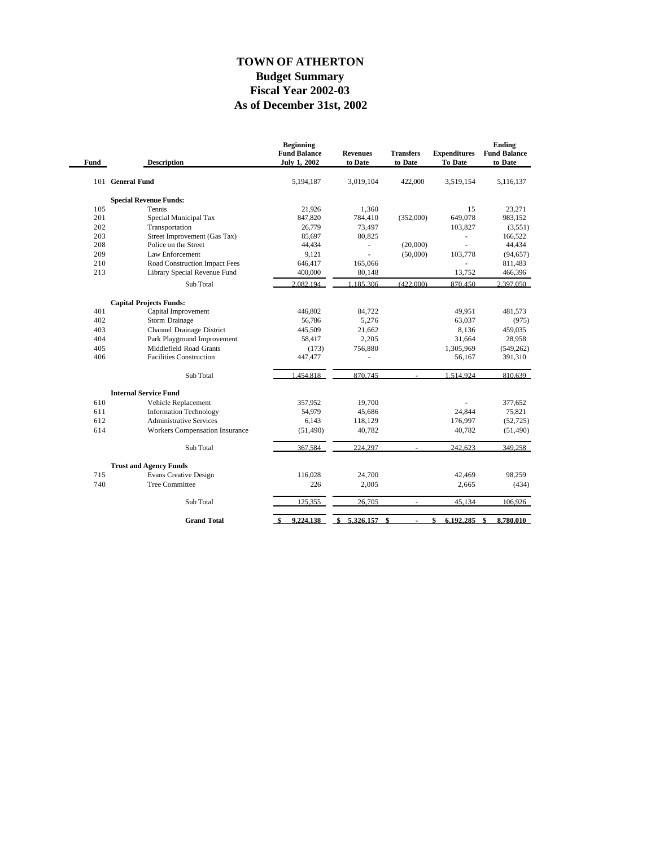### **As of December 31st, 2002 Fiscal Year 2002-03 Budget Summary TOWN OF ATHERTON**

| Fund | <b>Description</b>                                   | <b>Beginning</b><br><b>Fund Balance</b><br>July 1, 2002 | <b>Revenues</b><br>to Date | <b>Transfers</b><br>to Date | <b>Expenditures</b><br><b>To Date</b> | Ending<br><b>Fund Balance</b><br>to Date |
|------|------------------------------------------------------|---------------------------------------------------------|----------------------------|-----------------------------|---------------------------------------|------------------------------------------|
| 101  | <b>General Fund</b>                                  | 5,194,187                                               | 3,019,104                  | 422,000                     | 3,519,154                             | 5,116,137                                |
|      | <b>Special Revenue Funds:</b>                        |                                                         |                            |                             |                                       |                                          |
| 105  | Tennis                                               | 21,926                                                  | 1,360                      |                             | 15                                    | 23,271                                   |
| 201  | Special Municipal Tax                                | 847,820                                                 | 784,410                    | (352,000)                   | 649,078                               | 983,152                                  |
| 202  | Transportation                                       | 26,779                                                  | 73,497                     |                             | 103,827                               | (3,551)                                  |
| 203  | Street Improvement (Gas Tax)                         | 85,697                                                  | 80,825                     |                             |                                       | 166,522                                  |
| 208  | Police on the Street                                 | 44,434                                                  | $\overline{\phantom{a}}$   | (20,000)                    | L.                                    | 44,434                                   |
| 209  | Law Enforcement                                      | 9,121                                                   | ÷.                         | (50,000)                    | 103,778                               | (94, 657)                                |
| 210  | Road Construction Impact Fees                        | 646,417                                                 | 165,066                    |                             |                                       | 811,483                                  |
| 213  | Library Special Revenue Fund                         | 400,000                                                 | 80,148                     |                             | 13,752                                | 466,396                                  |
|      | Sub Total                                            | 2.082.194                                               | .185.306                   | (422.000)                   | 870.450                               | 2.397.050                                |
|      | <b>Capital Projects Funds:</b>                       |                                                         |                            |                             |                                       |                                          |
| 401  | Capital Improvement                                  | 446.802                                                 | 84.722                     |                             | 49,951                                | 481.573                                  |
| 402  | Storm Drainage                                       | 56,786                                                  | 5,276                      |                             | 63,037                                | (975)                                    |
| 403  | Channel Drainage District                            | 445.509                                                 | 21,662                     |                             | 8.136                                 | 459.035                                  |
| 404  | Park Playground Improvement                          | 58,417                                                  | 2,205                      |                             | 31,664                                | 28,958                                   |
| 405  | Middlefield Road Grants                              | (173)                                                   | 756,880                    |                             | 1,305,969                             | (549, 262)                               |
| 406  | <b>Facilities Construction</b>                       | 447,477                                                 | ä,                         |                             | 56,167                                | 391,310                                  |
|      | Sub Total                                            | 1.454.818                                               | 870,745                    |                             | 1.514.924                             | 810.639                                  |
|      |                                                      |                                                         |                            |                             |                                       |                                          |
| 610  | <b>Internal Service Fund</b>                         | 357.952                                                 | 19.700                     |                             |                                       | 377,652                                  |
| 611  | Vehicle Replacement<br><b>Information Technology</b> | 54,979                                                  | 45,686                     |                             | 24.844                                | 75,821                                   |
| 612  | <b>Administrative Services</b>                       | 6,143                                                   | 118,129                    |                             | 176,997                               | (52, 725)                                |
| 614  | <b>Workers Compensation Insurance</b>                | (51, 490)                                               | 40,782                     |                             | 40,782                                | (51, 490)                                |
|      |                                                      |                                                         |                            |                             |                                       |                                          |
|      | Sub Total                                            | 367,584                                                 | 224,297                    |                             | 242,623                               | 349,258                                  |
|      | <b>Trust and Agency Funds</b>                        |                                                         |                            |                             |                                       |                                          |
| 715  | <b>Evans Creative Design</b>                         | 116,028                                                 | 24,700                     |                             | 42,469                                | 98,259                                   |
| 740  | <b>Tree Committee</b>                                | 226                                                     | 2,005                      |                             | 2,665                                 | (434)                                    |
|      | Sub Total                                            | 125,355                                                 | 26,705                     |                             | 45,134                                | 106,926                                  |
|      | <b>Grand Total</b>                                   | 9.224.138<br>-\$                                        | 5.326.157<br>\$            | \$                          | 6.192.285<br>\$                       | \$<br>8.780.010                          |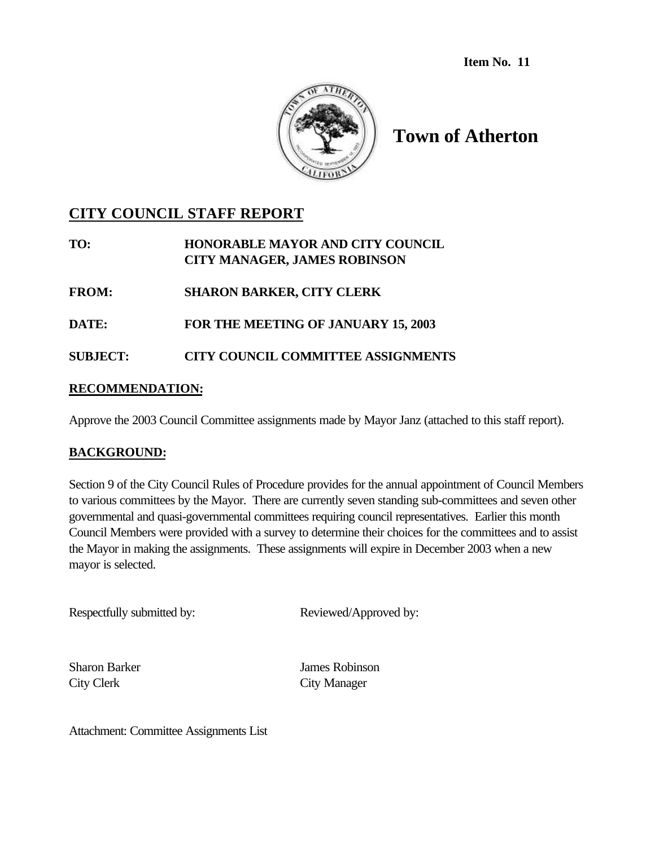**Item No. 11**



# **Town of Atherton**

# **CITY COUNCIL STAFF REPORT**

**TO: HONORABLE MAYOR AND CITY COUNCIL CITY MANAGER, JAMES ROBINSON**

**FROM: SHARON BARKER, CITY CLERK**

**DATE: FOR THE MEETING OF JANUARY 15, 2003**

**SUBJECT: CITY COUNCIL COMMITTEE ASSIGNMENTS**

# **RECOMMENDATION:**

Approve the 2003 Council Committee assignments made by Mayor Janz (attached to this staff report).

# **BACKGROUND:**

Section 9 of the City Council Rules of Procedure provides for the annual appointment of Council Members to various committees by the Mayor. There are currently seven standing sub-committees and seven other governmental and quasi-governmental committees requiring council representatives. Earlier this month Council Members were provided with a survey to determine their choices for the committees and to assist the Mayor in making the assignments. These assignments will expire in December 2003 when a new mayor is selected.

Respectfully submitted by: Reviewed/Approved by:

Sharon Barker James Robinson City Clerk City Manager

Attachment: Committee Assignments List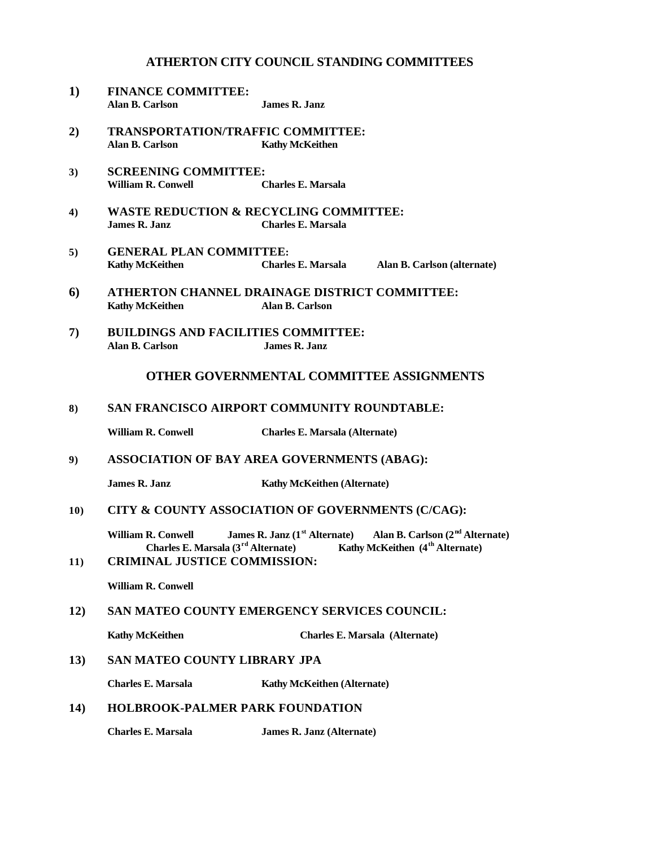#### **ATHERTON CITY COUNCIL STANDING COMMITTEES**

- **1) FINANCE COMMITTEE: Alan B. Carlson James R. Janz**
- **2) TRANSPORTATION/TRAFFIC COMMITTEE: Alan B. Carlson Kathy McKeithen**
- **3) SCREENING COMMITTEE: William R. Conwell Charles E. Marsala**
- **4) WASTE REDUCTION & RECYCLING COMMITTEE: James R. Janz Charles E. Marsala**
- **5) GENERAL PLAN COMMITTEE: Kathy McKeithen Charles E. Marsala Alan B. Carlson (alternate)**
- **6) ATHERTON CHANNEL DRAINAGE DISTRICT COMMITTEE: Kathy McKeithen Alan B. Carlson**
- **7) BUILDINGS AND FACILITIES COMMITTEE: Alan B. Carlson James R. Janz**

#### **OTHER GOVERNMENTAL COMMITTEE ASSIGNMENTS**

#### **8) SAN FRANCISCO AIRPORT COMMUNITY ROUNDTABLE:**

**William R. Conwell Charles E. Marsala (Alternate)**

**9) ASSOCIATION OF BAY AREA GOVERNMENTS (ABAG):**

**James R. Janz** Kathy McKeithen (Alternate)

#### **10) CITY & COUNTY ASSOCIATION OF GOVERNMENTS (C/CAG):**

**William R. Conwell** James R. Janz (1<sup>st</sup> Alternate) Alan B. Carlson (2<sup>nd</sup> Alternate)<br>Charles E. Marsala (3<sup>rd</sup> Alternate) **Kathy McKeithen** (4<sup>th</sup> Alternate) **C**Kathy McKeithen (4<sup>th</sup> Alternate)

**11) CRIMINAL JUSTICE COMMISSION:**

**William R. Conwell**

#### **12) SAN MATEO COUNTY EMERGENCY SERVICES COUNCIL:**

**Kathy McKeithen Charles E. Marsala (Alternate)**

**13) SAN MATEO COUNTY LIBRARY JPA** 

**Charles E. Marsala Kathy McKeithen (Alternate)**

#### **14) HOLBROOK-PALMER PARK FOUNDATION**

**Charles E. Marsala James R. Janz (Alternate)**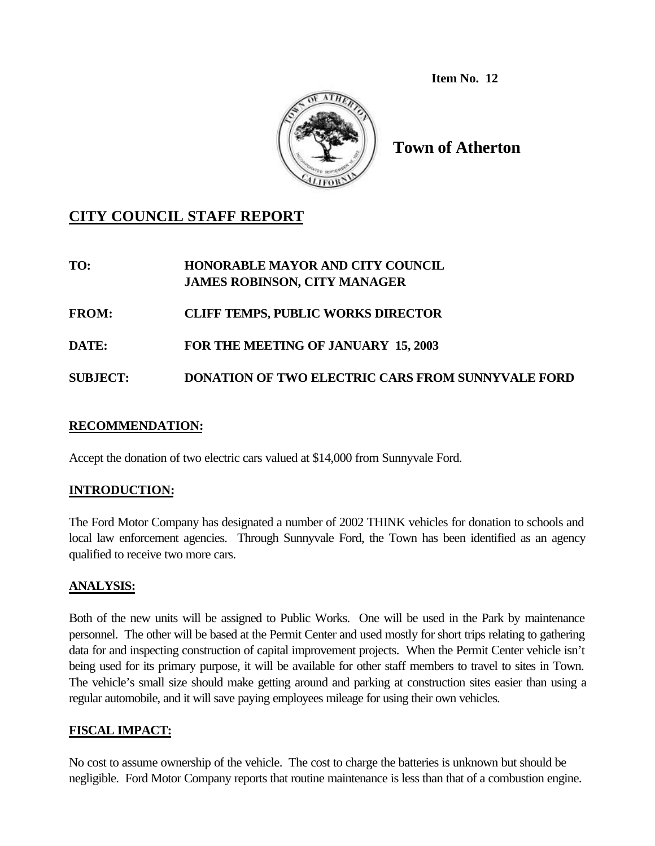**Item No. 12**



**Town of Atherton**

# **CITY COUNCIL STAFF REPORT**

**TO: HONORABLE MAYOR AND CITY COUNCIL JAMES ROBINSON, CITY MANAGER**

**FROM: CLIFF TEMPS, PUBLIC WORKS DIRECTOR**

**DATE: FOR THE MEETING OF JANUARY 15, 2003**

**SUBJECT: DONATION OF TWO ELECTRIC CARS FROM SUNNYVALE FORD**

# **RECOMMENDATION:**

Accept the donation of two electric cars valued at \$14,000 from Sunnyvale Ford.

# **INTRODUCTION:**

The Ford Motor Company has designated a number of 2002 THINK vehicles for donation to schools and local law enforcement agencies. Through Sunnyvale Ford, the Town has been identified as an agency qualified to receive two more cars.

# **ANALYSIS:**

Both of the new units will be assigned to Public Works. One will be used in the Park by maintenance personnel. The other will be based at the Permit Center and used mostly for short trips relating to gathering data for and inspecting construction of capital improvement projects. When the Permit Center vehicle isn't being used for its primary purpose, it will be available for other staff members to travel to sites in Town. The vehicle's small size should make getting around and parking at construction sites easier than using a regular automobile, and it will save paying employees mileage for using their own vehicles.

# **FISCAL IMPACT:**

No cost to assume ownership of the vehicle. The cost to charge the batteries is unknown but should be negligible. Ford Motor Company reports that routine maintenance is less than that of a combustion engine.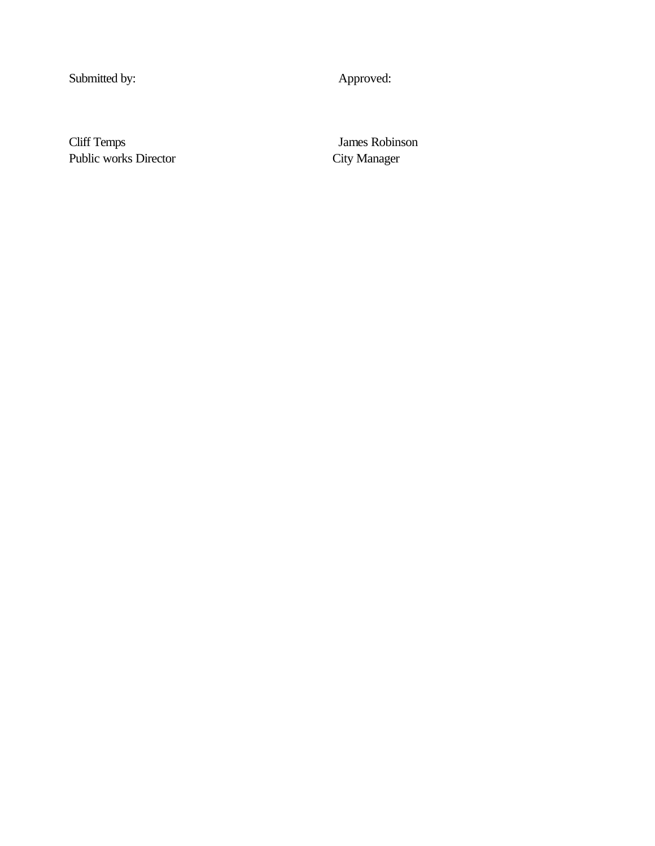Submitted by: Approved:

Cliff Temps James Robinson Public works Director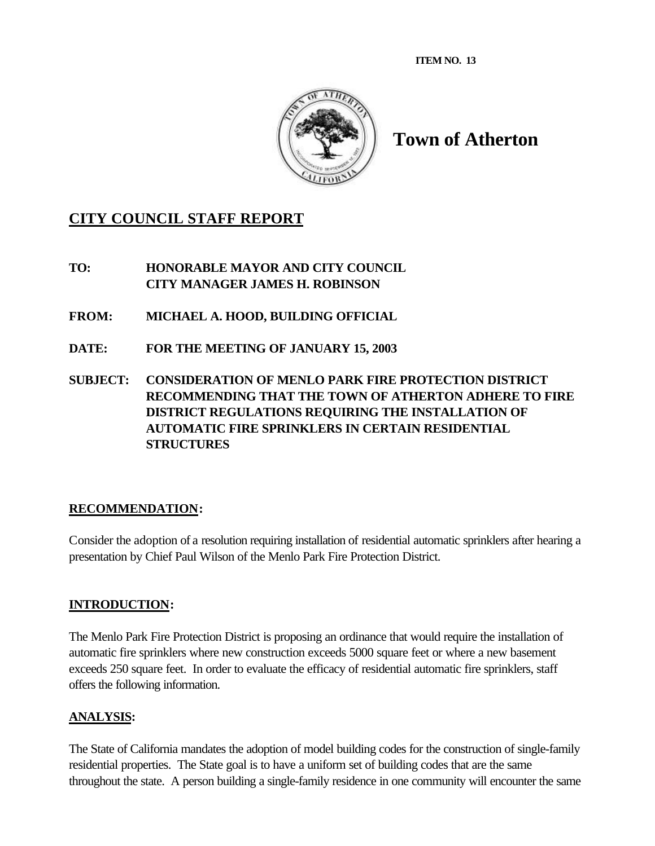**ITEM NO. 13**



# **Town of Atherton**

# **CITY COUNCIL STAFF REPORT**

**TO: HONORABLE MAYOR AND CITY COUNCIL CITY MANAGER JAMES H. ROBINSON**

- **FROM: MICHAEL A. HOOD, BUILDING OFFICIAL**
- **DATE: FOR THE MEETING OF JANUARY 15, 2003**
- **SUBJECT: CONSIDERATION OF MENLO PARK FIRE PROTECTION DISTRICT RECOMMENDING THAT THE TOWN OF ATHERTON ADHERE TO FIRE DISTRICT REGULATIONS REQUIRING THE INSTALLATION OF AUTOMATIC FIRE SPRINKLERS IN CERTAIN RESIDENTIAL STRUCTURES**

# **RECOMMENDATION:**

Consider the adoption of a resolution requiring installation of residential automatic sprinklers after hearing a presentation by Chief Paul Wilson of the Menlo Park Fire Protection District.

# **INTRODUCTION:**

The Menlo Park Fire Protection District is proposing an ordinance that would require the installation of automatic fire sprinklers where new construction exceeds 5000 square feet or where a new basement exceeds 250 square feet. In order to evaluate the efficacy of residential automatic fire sprinklers, staff offers the following information.

# **ANALYSIS:**

The State of California mandates the adoption of model building codes for the construction of single-family residential properties. The State goal is to have a uniform set of building codes that are the same throughout the state. A person building a single-family residence in one community will encounter the same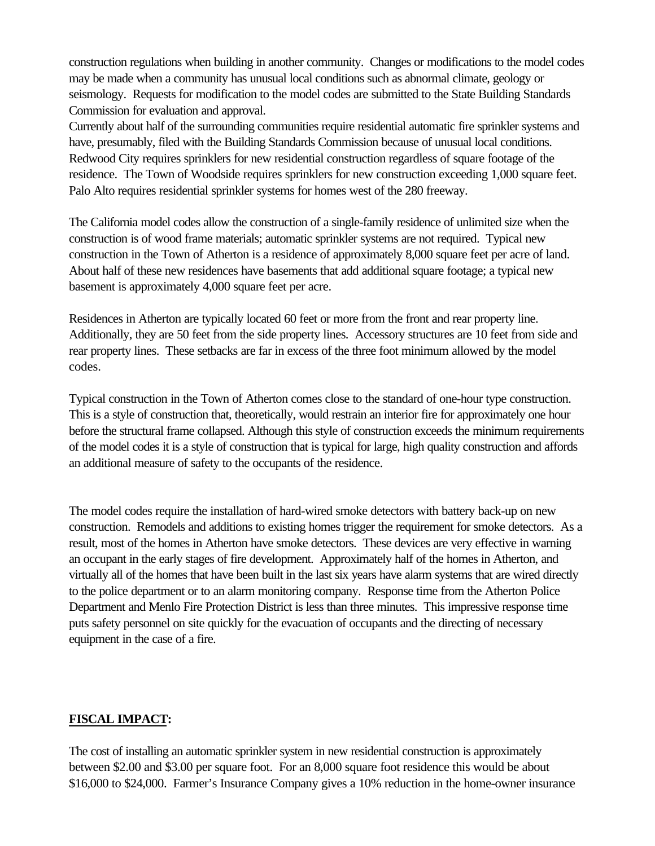construction regulations when building in another community. Changes or modifications to the model codes may be made when a community has unusual local conditions such as abnormal climate, geology or seismology. Requests for modification to the model codes are submitted to the State Building Standards Commission for evaluation and approval.

Currently about half of the surrounding communities require residential automatic fire sprinkler systems and have, presumably, filed with the Building Standards Commission because of unusual local conditions. Redwood City requires sprinklers for new residential construction regardless of square footage of the residence. The Town of Woodside requires sprinklers for new construction exceeding 1,000 square feet. Palo Alto requires residential sprinkler systems for homes west of the 280 freeway.

The California model codes allow the construction of a single-family residence of unlimited size when the construction is of wood frame materials; automatic sprinkler systems are not required. Typical new construction in the Town of Atherton is a residence of approximately 8,000 square feet per acre of land. About half of these new residences have basements that add additional square footage; a typical new basement is approximately 4,000 square feet per acre.

Residences in Atherton are typically located 60 feet or more from the front and rear property line. Additionally, they are 50 feet from the side property lines. Accessory structures are 10 feet from side and rear property lines. These setbacks are far in excess of the three foot minimum allowed by the model codes.

Typical construction in the Town of Atherton comes close to the standard of one-hour type construction. This is a style of construction that, theoretically, would restrain an interior fire for approximately one hour before the structural frame collapsed. Although this style of construction exceeds the minimum requirements of the model codes it is a style of construction that is typical for large, high quality construction and affords an additional measure of safety to the occupants of the residence.

The model codes require the installation of hard-wired smoke detectors with battery back-up on new construction. Remodels and additions to existing homes trigger the requirement for smoke detectors. As a result, most of the homes in Atherton have smoke detectors. These devices are very effective in warning an occupant in the early stages of fire development. Approximately half of the homes in Atherton, and virtually all of the homes that have been built in the last six years have alarm systems that are wired directly to the police department or to an alarm monitoring company. Response time from the Atherton Police Department and Menlo Fire Protection District is less than three minutes. This impressive response time puts safety personnel on site quickly for the evacuation of occupants and the directing of necessary equipment in the case of a fire.

# **FISCAL IMPACT:**

The cost of installing an automatic sprinkler system in new residential construction is approximately between \$2.00 and \$3.00 per square foot. For an 8,000 square foot residence this would be about \$16,000 to \$24,000. Farmer's Insurance Company gives a 10% reduction in the home-owner insurance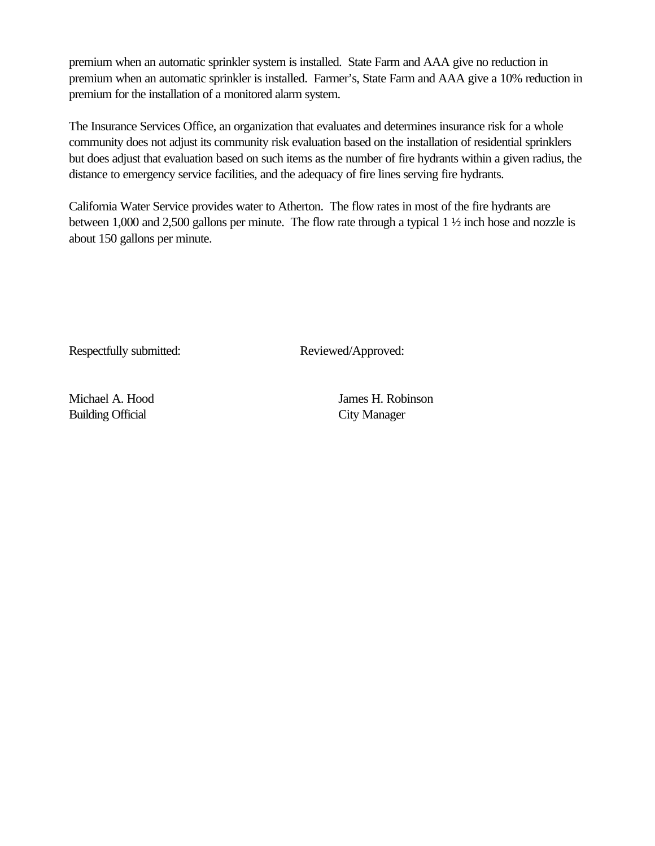premium when an automatic sprinkler system is installed. State Farm and AAA give no reduction in premium when an automatic sprinkler is installed. Farmer's, State Farm and AAA give a 10% reduction in premium for the installation of a monitored alarm system.

The Insurance Services Office, an organization that evaluates and determines insurance risk for a whole community does not adjust its community risk evaluation based on the installation of residential sprinklers but does adjust that evaluation based on such items as the number of fire hydrants within a given radius, the distance to emergency service facilities, and the adequacy of fire lines serving fire hydrants.

California Water Service provides water to Atherton. The flow rates in most of the fire hydrants are between 1,000 and 2,500 gallons per minute. The flow rate through a typical 1 ½ inch hose and nozzle is about 150 gallons per minute.

Respectfully submitted: Reviewed/Approved:

Building Official City Manager

Michael A. Hood James H. Robinson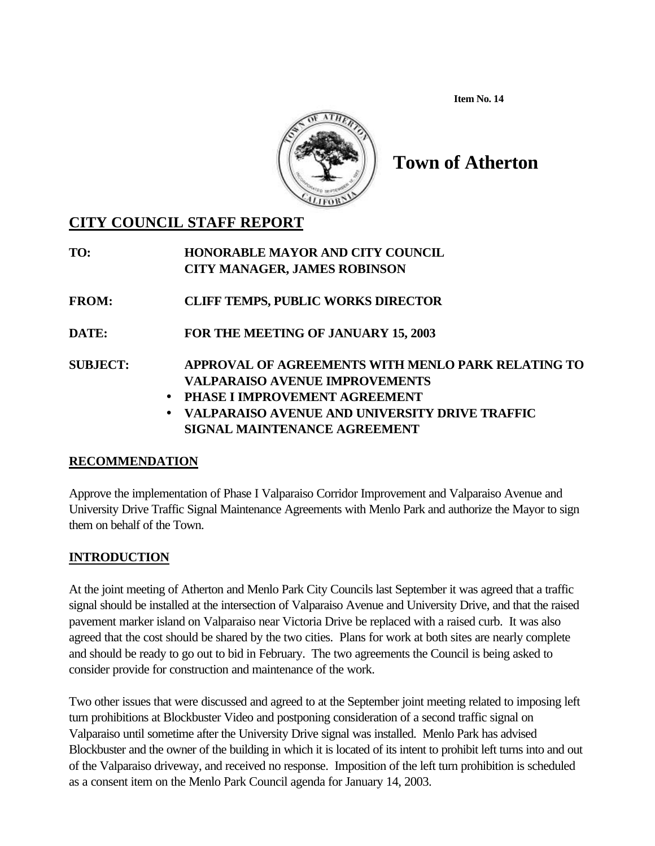**Item No. 14**



# **Town of Atherton**

# **CITY COUNCIL STAFF REPORT**

| TO:             | <b>HONORABLE MAYOR AND CITY COUNCIL</b><br><b>CITY MANAGER, JAMES ROBINSON</b>                     |
|-----------------|----------------------------------------------------------------------------------------------------|
| <b>FROM:</b>    | <b>CLIFF TEMPS, PUBLIC WORKS DIRECTOR</b>                                                          |
| <b>DATE:</b>    | FOR THE MEETING OF JANUARY 15, 2003                                                                |
| <b>SUBJECT:</b> | APPROVAL OF AGREEMENTS WITH MENLO PARK RELATING TO                                                 |
|                 | <b>VALPARAISO AVENUE IMPROVEMENTS</b>                                                              |
|                 | • PHASE I IMPROVEMENT AGREEMENT                                                                    |
|                 | VALPARAISO AVENUE AND UNIVERSITY DRIVE TRAFFIC<br>$\bullet$<br><b>SIGNAL MAINTENANCE AGREEMENT</b> |

# **RECOMMENDATION**

Approve the implementation of Phase I Valparaiso Corridor Improvement and Valparaiso Avenue and University Drive Traffic Signal Maintenance Agreements with Menlo Park and authorize the Mayor to sign them on behalf of the Town.

# **INTRODUCTION**

At the joint meeting of Atherton and Menlo Park City Councils last September it was agreed that a traffic signal should be installed at the intersection of Valparaiso Avenue and University Drive, and that the raised pavement marker island on Valparaiso near Victoria Drive be replaced with a raised curb. It was also agreed that the cost should be shared by the two cities. Plans for work at both sites are nearly complete and should be ready to go out to bid in February. The two agreements the Council is being asked to consider provide for construction and maintenance of the work.

Two other issues that were discussed and agreed to at the September joint meeting related to imposing left turn prohibitions at Blockbuster Video and postponing consideration of a second traffic signal on Valparaiso until sometime after the University Drive signal was installed. Menlo Park has advised Blockbuster and the owner of the building in which it is located of its intent to prohibit left turns into and out of the Valparaiso driveway, and received no response. Imposition of the left turn prohibition is scheduled as a consent item on the Menlo Park Council agenda for January 14, 2003.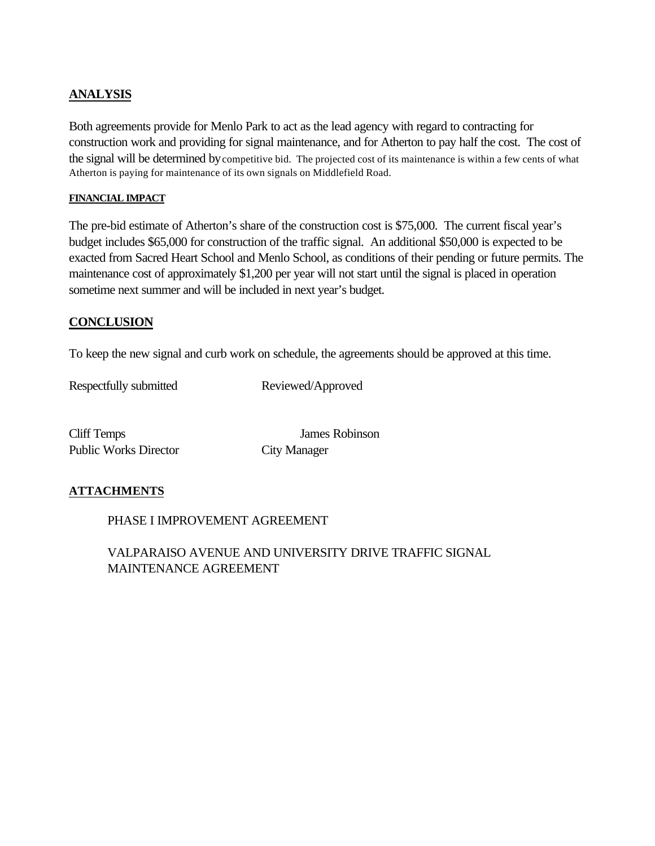# **ANALYSIS**

Both agreements provide for Menlo Park to act as the lead agency with regard to contracting for construction work and providing for signal maintenance, and for Atherton to pay half the cost. The cost of the signal will be determined by competitive bid. The projected cost of its maintenance is within a few cents of what Atherton is paying for maintenance of its own signals on Middlefield Road.

#### **FINANCIAL IMPACT**

The pre-bid estimate of Atherton's share of the construction cost is \$75,000. The current fiscal year's budget includes \$65,000 for construction of the traffic signal. An additional \$50,000 is expected to be exacted from Sacred Heart School and Menlo School, as conditions of their pending or future permits. The maintenance cost of approximately \$1,200 per year will not start until the signal is placed in operation sometime next summer and will be included in next year's budget.

# **CONCLUSION**

To keep the new signal and curb work on schedule, the agreements should be approved at this time.

Respectfully submitted Reviewed/Approved

Cliff Temps James Robinson Public Works Director City Manager

# **ATTACHMENTS**

PHASE I IMPROVEMENT AGREEMENT

VALPARAISO AVENUE AND UNIVERSITY DRIVE TRAFFIC SIGNAL MAINTENANCE AGREEMENT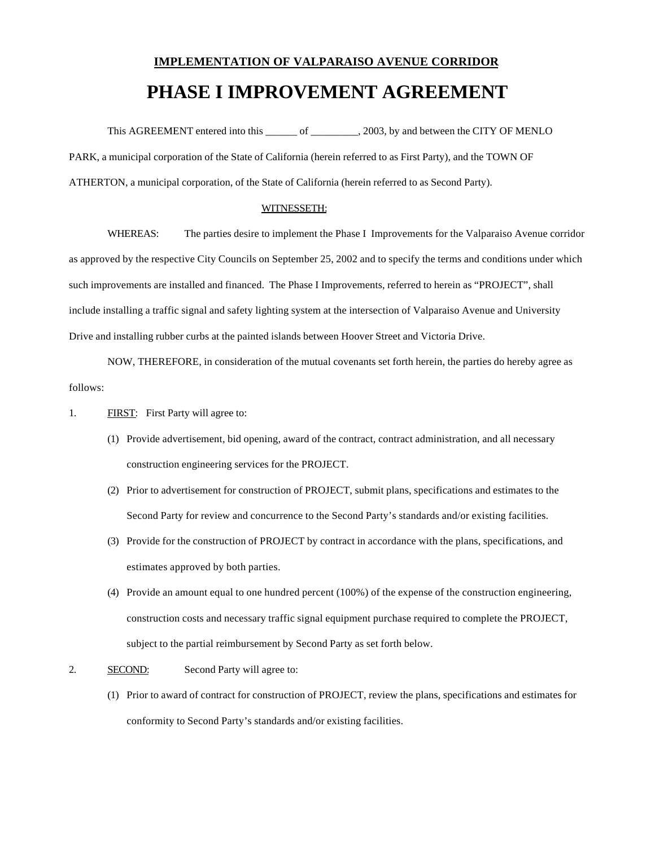# **IMPLEMENTATION OF VALPARAISO AVENUE CORRIDOR PHASE I IMPROVEMENT AGREEMENT**

This AGREEMENT entered into this of cases, 2003, by and between the CITY OF MENLO PARK, a municipal corporation of the State of California (herein referred to as First Party), and the TOWN OF ATHERTON, a municipal corporation, of the State of California (herein referred to as Second Party).

#### WITNESSETH:

WHEREAS: The parties desire to implement the Phase I Improvements for the Valparaiso Avenue corridor as approved by the respective City Councils on September 25, 2002 and to specify the terms and conditions under which such improvements are installed and financed. The Phase I Improvements, referred to herein as "PROJECT", shall include installing a traffic signal and safety lighting system at the intersection of Valparaiso Avenue and University Drive and installing rubber curbs at the painted islands between Hoover Street and Victoria Drive.

NOW, THEREFORE, in consideration of the mutual covenants set forth herein, the parties do hereby agree as follows:

- 1. FIRST: First Party will agree to:
	- (1) Provide advertisement, bid opening, award of the contract, contract administration, and all necessary construction engineering services for the PROJECT.
	- (2) Prior to advertisement for construction of PROJECT, submit plans, specifications and estimates to the Second Party for review and concurrence to the Second Party's standards and/or existing facilities.
	- (3) Provide for the construction of PROJECT by contract in accordance with the plans, specifications, and estimates approved by both parties.
	- (4) Provide an amount equal to one hundred percent (100%) of the expense of the construction engineering, construction costs and necessary traffic signal equipment purchase required to complete the PROJECT, subject to the partial reimbursement by Second Party as set forth below.
- 2. SECOND: Second Party will agree to:
	- (1) Prior to award of contract for construction of PROJECT, review the plans, specifications and estimates for conformity to Second Party's standards and/or existing facilities.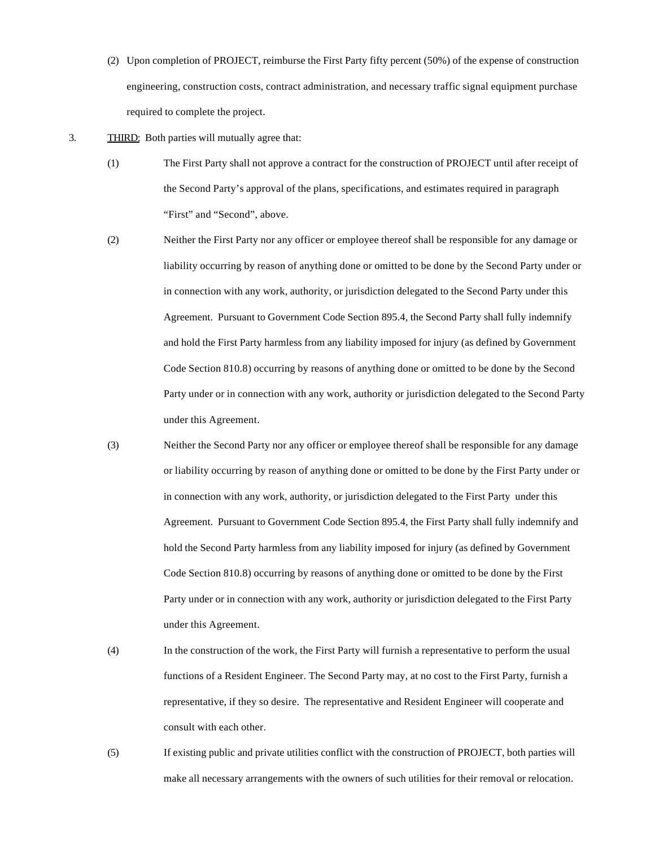- (2) Upon completion of PROJECT, reimburse the First Party fifty percent (50%) of the expense of construction engineering, construction costs, contract administration, and necessary traffic signal equipment purchase required to complete the project.
- 3. THIRD: Both parties will mutually agree that:
	- (1) The First Party shall not approve a contract for the construction of PROJECT until after receipt of the Second Party's approval of the plans, specifications, and estimates required in paragraph "First" and "Second", above.
	- (2) Neither the First Party nor any officer or employee thereof shall be responsible for any damage or liability occurring by reason of anything done or omitted to be done by the Second Party under or in connection with any work, authority, or jurisdiction delegated to the Second Party under this Agreement. Pursuant to Government Code Section 895.4, the Second Party shall fully indemnify and hold the First Party harmless from any liability imposed for injury (as defined by Government Code Section 810.8) occurring by reasons of anything done or omitted to be done by the Second Party under or in connection with any work, authority or jurisdiction delegated to the Second Party under this Agreement.
	- (3) Neither the Second Party nor any officer or employee thereof shall be responsible for any damage or liability occurring by reason of anything done or omitted to be done by the First Party under or in connection with any work, authority, or jurisdiction delegated to the First Party under this Agreement. Pursuant to Government Code Section 895.4, the First Party shall fully indemnify and hold the Second Party harmless from any liability imposed for injury (as defined by Government Code Section 810.8) occurring by reasons of anything done or omitted to be done by the First Party under or in connection with any work, authority or jurisdiction delegated to the First Party under this Agreement.
	- (4) In the construction of the work, the First Party will furnish a representative to perform the usual functions of a Resident Engineer. The Second Party may, at no cost to the First Party, furnish a representative, if they so desire. The representative and Resident Engineer will cooperate and consult with each other.
	- (5) If existing public and private utilities conflict with the construction of PROJECT, both parties will make all necessary arrangements with the owners of such utilities for their removal or relocation.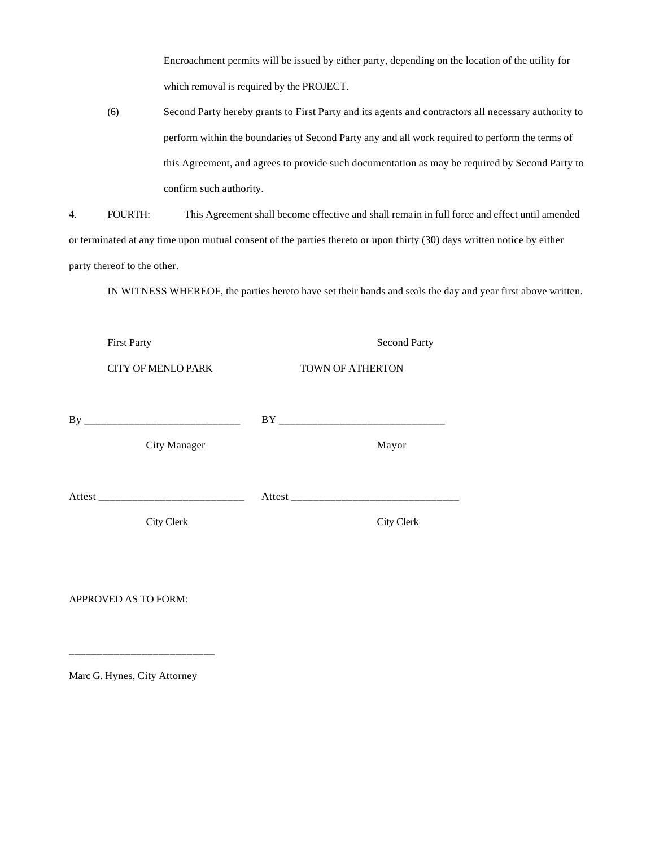Encroachment permits will be issued by either party, depending on the location of the utility for which removal is required by the PROJECT.

(6) Second Party hereby grants to First Party and its agents and contractors all necessary authority to perform within the boundaries of Second Party any and all work required to perform the terms of this Agreement, and agrees to provide such documentation as may be required by Second Party to confirm such authority.

4. FOURTH: This Agreement shall become effective and shall remain in full force and effect until amended or terminated at any time upon mutual consent of the parties thereto or upon thirty (30) days written notice by either party thereof to the other.

IN WITNESS WHEREOF, the parties hereto have set their hands and seals the day and year first above written.

| <b>First Party</b>        | <b>Second Party</b> |
|---------------------------|---------------------|
| <b>CITY OF MENLO PARK</b> | TOWN OF ATHERTON    |
|                           |                     |
| <b>City Manager</b>       | Mayor               |
|                           |                     |
| <b>City Clerk</b>         | <b>City Clerk</b>   |
|                           |                     |
| APPROVED AS TO FORM:      |                     |

Marc G. Hynes, City Attorney

\_\_\_\_\_\_\_\_\_\_\_\_\_\_\_\_\_\_\_\_\_\_\_\_\_\_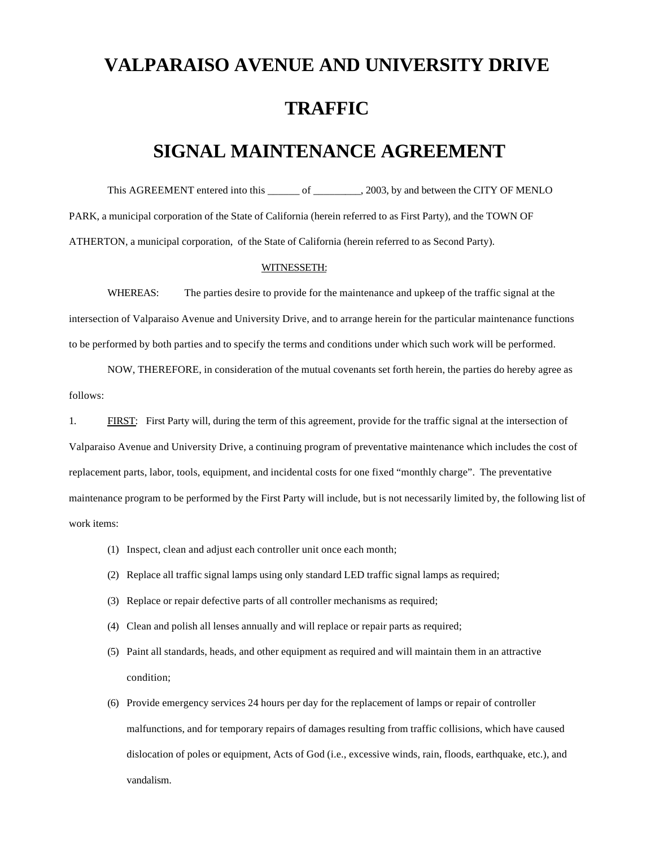# **VALPARAISO AVENUE AND UNIVERSITY DRIVE TRAFFIC**

# **SIGNAL MAINTENANCE AGREEMENT**

This AGREEMENT entered into this  $\qquad \qquad$  of  $\qquad \qquad$ , 2003, by and between the CITY OF MENLO PARK, a municipal corporation of the State of California (herein referred to as First Party), and the TOWN OF ATHERTON, a municipal corporation, of the State of California (herein referred to as Second Party).

#### WITNESSETH:

WHEREAS: The parties desire to provide for the maintenance and upkeep of the traffic signal at the intersection of Valparaiso Avenue and University Drive, and to arrange herein for the particular maintenance functions to be performed by both parties and to specify the terms and conditions under which such work will be performed.

NOW, THEREFORE, in consideration of the mutual covenants set forth herein, the parties do hereby agree as follows:

1. FIRST: First Party will, during the term of this agreement, provide for the traffic signal at the intersection of Valparaiso Avenue and University Drive, a continuing program of preventative maintenance which includes the cost of replacement parts, labor, tools, equipment, and incidental costs for one fixed "monthly charge". The preventative maintenance program to be performed by the First Party will include, but is not necessarily limited by, the following list of work items:

- (1) Inspect, clean and adjust each controller unit once each month;
- (2) Replace all traffic signal lamps using only standard LED traffic signal lamps as required;
- (3) Replace or repair defective parts of all controller mechanisms as required;
- (4) Clean and polish all lenses annually and will replace or repair parts as required;
- (5) Paint all standards, heads, and other equipment as required and will maintain them in an attractive condition;
- (6) Provide emergency services 24 hours per day for the replacement of lamps or repair of controller malfunctions, and for temporary repairs of damages resulting from traffic collisions, which have caused dislocation of poles or equipment, Acts of God (i.e., excessive winds, rain, floods, earthquake, etc.), and vandalism.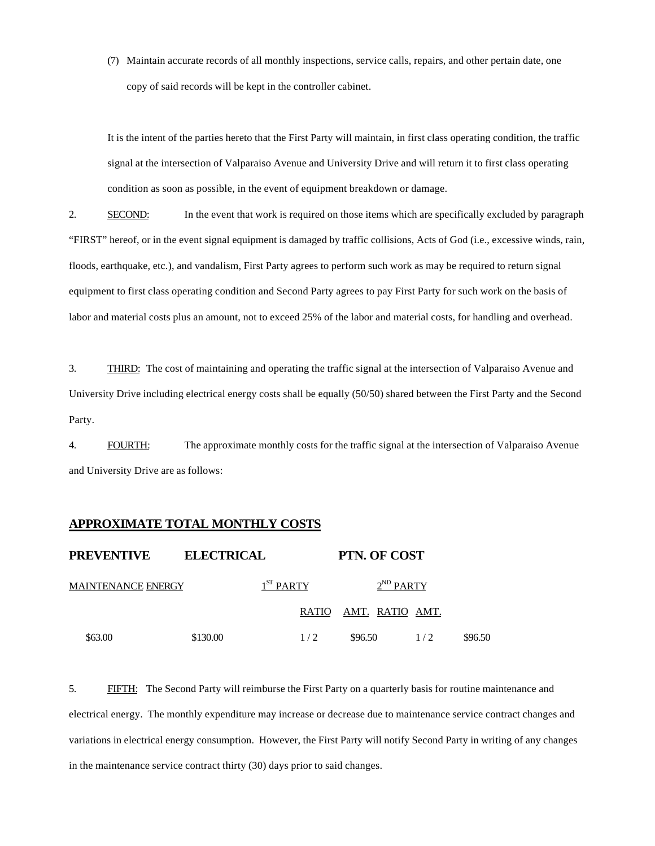(7) Maintain accurate records of all monthly inspections, service calls, repairs, and other pertain date, one copy of said records will be kept in the controller cabinet.

It is the intent of the parties hereto that the First Party will maintain, in first class operating condition, the traffic signal at the intersection of Valparaiso Avenue and University Drive and will return it to first class operating condition as soon as possible, in the event of equipment breakdown or damage.

2. SECOND: In the event that work is required on those items which are specifically excluded by paragraph "FIRST" hereof, or in the event signal equipment is damaged by traffic collisions, Acts of God (i.e., excessive winds, rain, floods, earthquake, etc.), and vandalism, First Party agrees to perform such work as may be required to return signal equipment to first class operating condition and Second Party agrees to pay First Party for such work on the basis of labor and material costs plus an amount, not to exceed 25% of the labor and material costs, for handling and overhead.

3. THIRD: The cost of maintaining and operating the traffic signal at the intersection of Valparaiso Avenue and University Drive including electrical energy costs shall be equally (50/50) shared between the First Party and the Second Party.

4. FOURTH: The approximate monthly costs for the traffic signal at the intersection of Valparaiso Avenue and University Drive are as follows:

#### **APPROXIMATE TOTAL MONTHLY COSTS**

| <b>PREVENTIVE</b>  | <b>ELECTRICAL</b> |             | <b>PTN. OF COST</b>    |     |         |
|--------------------|-------------------|-------------|------------------------|-----|---------|
| MAINTENANCE ENERGY |                   | $1ST$ PARTY | $2^{ND}$ PARTY         |     |         |
|                    |                   | RATIO       | <u>AMT. RATIO AMT.</u> |     |         |
| \$63.00            | \$130.00          | 1/2         | \$96.50                | 1/2 | \$96.50 |

5. FIFTH: The Second Party will reimburse the First Party on a quarterly basis for routine maintenance and electrical energy. The monthly expenditure may increase or decrease due to maintenance service contract changes and variations in electrical energy consumption. However, the First Party will notify Second Party in writing of any changes in the maintenance service contract thirty (30) days prior to said changes.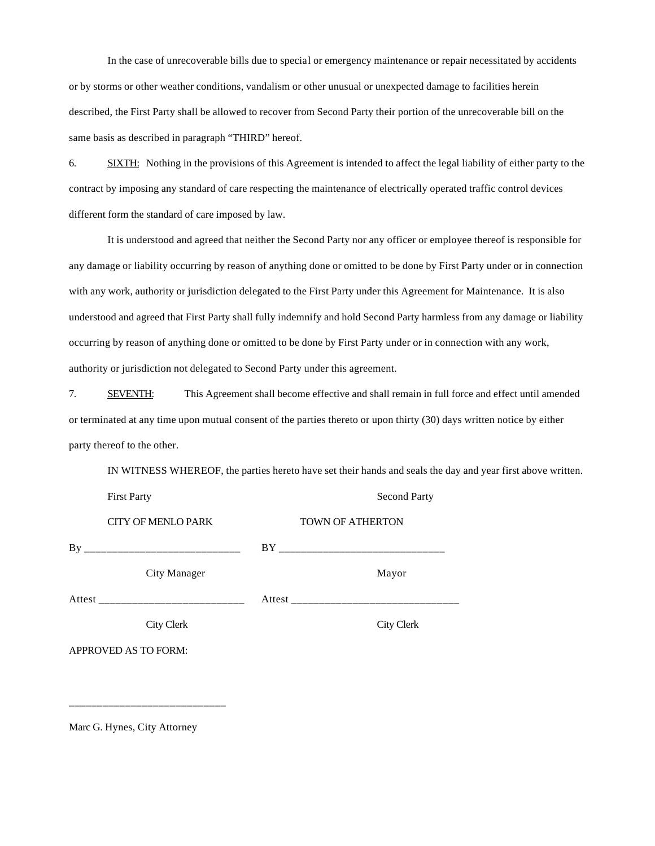In the case of unrecoverable bills due to special or emergency maintenance or repair necessitated by accidents or by storms or other weather conditions, vandalism or other unusual or unexpected damage to facilities herein described, the First Party shall be allowed to recover from Second Party their portion of the unrecoverable bill on the same basis as described in paragraph "THIRD" hereof.

6. SIXTH: Nothing in the provisions of this Agreement is intended to affect the legal liability of either party to the contract by imposing any standard of care respecting the maintenance of electrically operated traffic control devices different form the standard of care imposed by law.

It is understood and agreed that neither the Second Party nor any officer or employee thereof is responsible for any damage or liability occurring by reason of anything done or omitted to be done by First Party under or in connection with any work, authority or jurisdiction delegated to the First Party under this Agreement for Maintenance. It is also understood and agreed that First Party shall fully indemnify and hold Second Party harmless from any damage or liability occurring by reason of anything done or omitted to be done by First Party under or in connection with any work, authority or jurisdiction not delegated to Second Party under this agreement.

7. SEVENTH: This Agreement shall become effective and shall remain in full force and effect until amended or terminated at any time upon mutual consent of the parties thereto or upon thirty (30) days written notice by either party thereof to the other.

IN WITNESS WHEREOF, the parties hereto have set their hands and seals the day and year first above written.

| <b>First Party</b>        | <b>Second Party</b>     |
|---------------------------|-------------------------|
| <b>CITY OF MENLO PARK</b> | <b>TOWN OF ATHERTON</b> |
|                           |                         |
| City Manager              | Mayor                   |
|                           |                         |
| City Clerk                | City Clerk              |
| APPROVED AS TO FORM:      |                         |
|                           |                         |

Marc G. Hynes, City Attorney

\_\_\_\_\_\_\_\_\_\_\_\_\_\_\_\_\_\_\_\_\_\_\_\_\_\_\_\_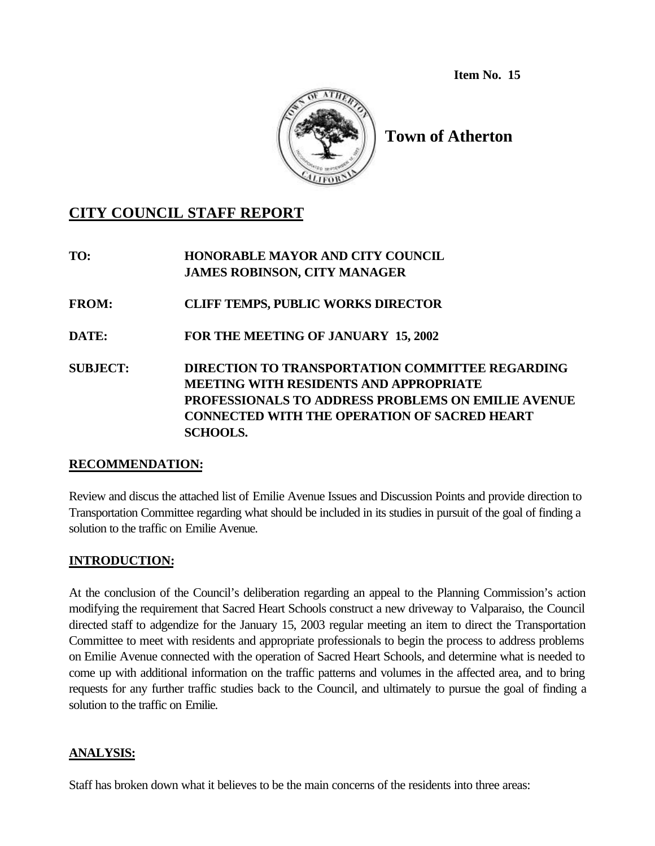**Item No. 15**



# **Town of Atherton**

# **CITY COUNCIL STAFF REPORT**

**TO: HONORABLE MAYOR AND CITY COUNCIL JAMES ROBINSON, CITY MANAGER FROM: CLIFF TEMPS, PUBLIC WORKS DIRECTOR DATE: FOR THE MEETING OF JANUARY 15, 2002 SUBJECT: DIRECTION TO TRANSPORTATION COMMITTEE REGARDING MEETING WITH RESIDENTS AND APPROPRIATE PROFESSIONALS TO ADDRESS PROBLEMS ON EMILIE AVENUE CONNECTED WITH THE OPERATION OF SACRED HEART SCHOOLS.**

# **RECOMMENDATION:**

Review and discus the attached list of Emilie Avenue Issues and Discussion Points and provide direction to Transportation Committee regarding what should be included in its studies in pursuit of the goal of finding a solution to the traffic on Emilie Avenue.

# **INTRODUCTION:**

At the conclusion of the Council's deliberation regarding an appeal to the Planning Commission's action modifying the requirement that Sacred Heart Schools construct a new driveway to Valparaiso, the Council directed staff to adgendize for the January 15, 2003 regular meeting an item to direct the Transportation Committee to meet with residents and appropriate professionals to begin the process to address problems on Emilie Avenue connected with the operation of Sacred Heart Schools, and determine what is needed to come up with additional information on the traffic patterns and volumes in the affected area, and to bring requests for any further traffic studies back to the Council, and ultimately to pursue the goal of finding a solution to the traffic on Emilie.

# **ANALYSIS:**

Staff has broken down what it believes to be the main concerns of the residents into three areas: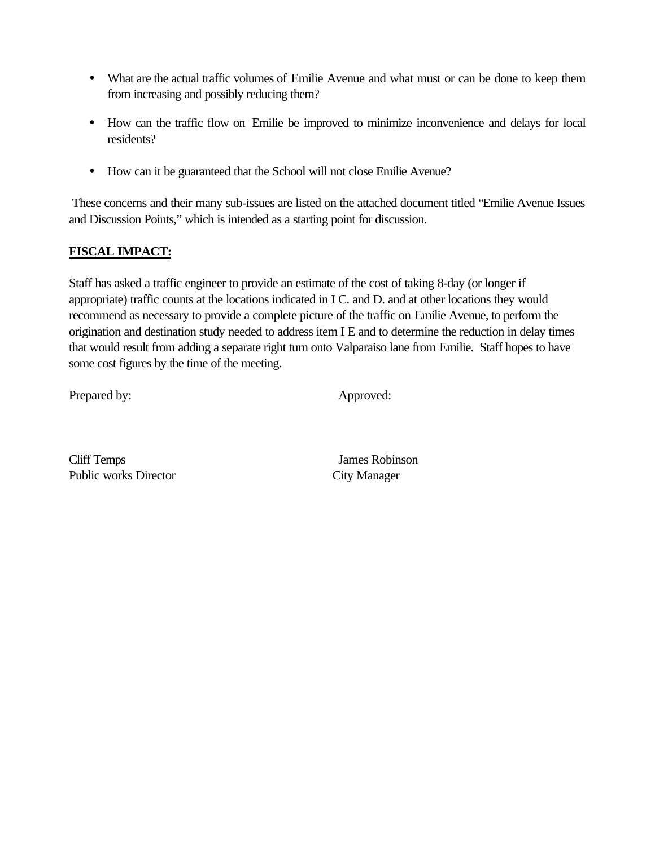- What are the actual traffic volumes of Emilie Avenue and what must or can be done to keep them from increasing and possibly reducing them?
- How can the traffic flow on Emilie be improved to minimize inconvenience and delays for local residents?
- How can it be guaranteed that the School will not close Emilie Avenue?

 These concerns and their many sub-issues are listed on the attached document titled "Emilie Avenue Issues and Discussion Points," which is intended as a starting point for discussion.

# **FISCAL IMPACT:**

Staff has asked a traffic engineer to provide an estimate of the cost of taking 8-day (or longer if appropriate) traffic counts at the locations indicated in I C. and D. and at other locations they would recommend as necessary to provide a complete picture of the traffic on Emilie Avenue, to perform the origination and destination study needed to address item I E and to determine the reduction in delay times that would result from adding a separate right turn onto Valparaiso lane from Emilie. Staff hopes to have some cost figures by the time of the meeting.

Prepared by: Approved:

Cliff Temps James Robinson Public works Director City Manager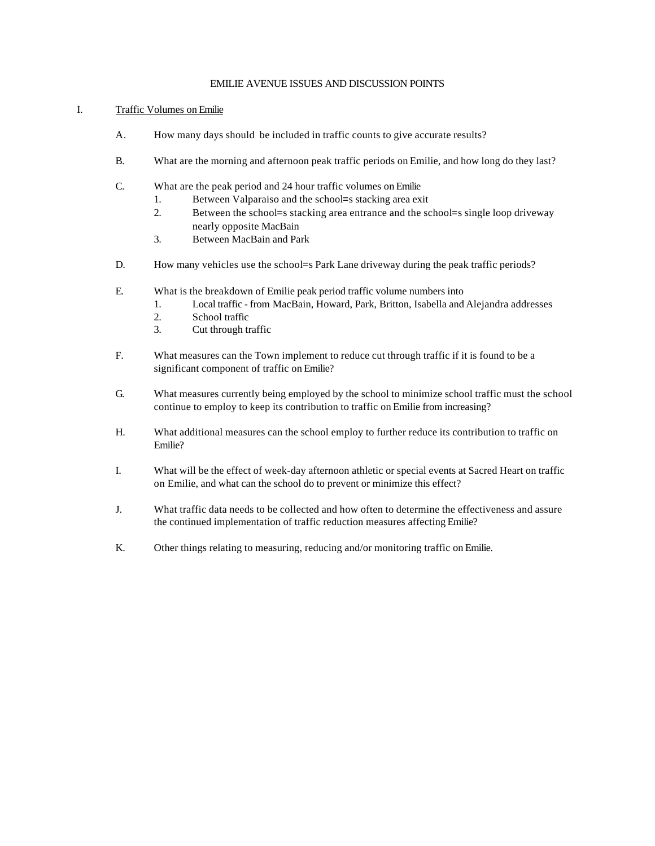#### EMILIE AVENUE ISSUES AND DISCUSSION POINTS

#### I. Traffic Volumes on Emilie

- A. How many days should be included in traffic counts to give accurate results?
- B. What are the morning and afternoon peak traffic periods on Emilie, and how long do they last?
- C. What are the peak period and 24 hour traffic volumes on Emilie
	- 1. Between Valparaiso and the school=s stacking area exit
	- 2. Between the school=s stacking area entrance and the school=s single loop driveway nearly opposite MacBain
	- 3. Between MacBain and Park
- D. How many vehicles use the school=s Park Lane driveway during the peak traffic periods?
- E. What is the breakdown of Emilie peak period traffic volume numbers into
	- 1. Local traffic from MacBain, Howard, Park, Britton, Isabella and Alejandra addresses
	- 2. School traffic
	- 3. Cut through traffic
- F. What measures can the Town implement to reduce cut through traffic if it is found to be a significant component of traffic on Emilie?
- G. What measures currently being employed by the school to minimize school traffic must the school continue to employ to keep its contribution to traffic on Emilie from increasing?
- H. What additional measures can the school employ to further reduce its contribution to traffic on Emilie?
- I. What will be the effect of week-day afternoon athletic or special events at Sacred Heart on traffic on Emilie, and what can the school do to prevent or minimize this effect?
- J. What traffic data needs to be collected and how often to determine the effectiveness and assure the continued implementation of traffic reduction measures affecting Emilie?
- K. Other things relating to measuring, reducing and/or monitoring traffic on Emilie.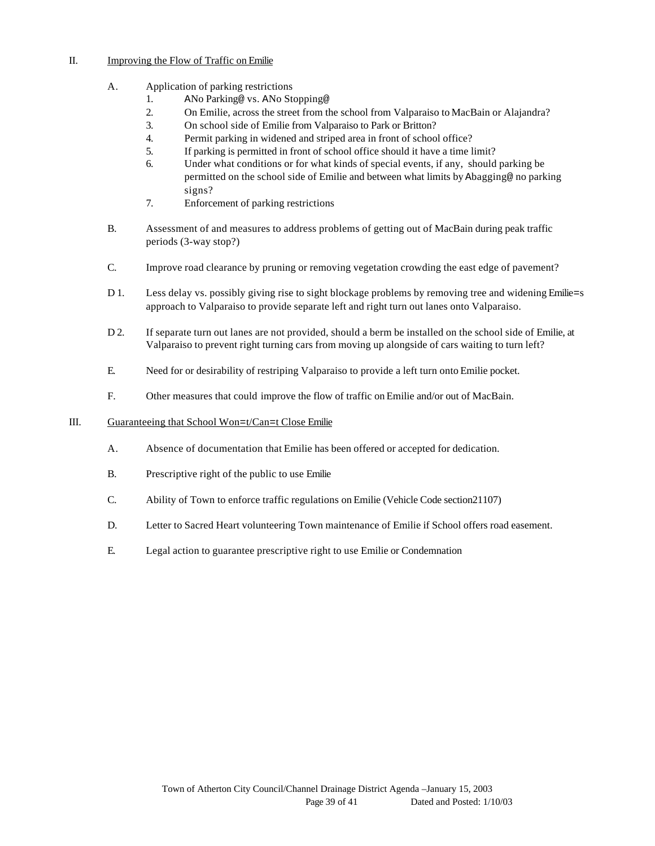#### II. Improving the Flow of Traffic on Emilie

#### A. Application of parking restrictions

- 1. ANo Parking@ vs. ANo Stopping@
- 2. On Emilie, across the street from the school from Valparaiso to MacBain or Alajandra?
- 3. On school side of Emilie from Valparaiso to Park or Britton?
- 4. Permit parking in widened and striped area in front of school office?
- 5. If parking is permitted in front of school office should it have a time limit?
- 6. Under what conditions or for what kinds of special events, if any, should parking be permitted on the school side of Emilie and between what limits by Abagging@ no parking signs?
- 7. Enforcement of parking restrictions
- B. Assessment of and measures to address problems of getting out of MacBain during peak traffic periods (3-way stop?)
- C. Improve road clearance by pruning or removing vegetation crowding the east edge of pavement?
- D 1. Less delay vs. possibly giving rise to sight blockage problems by removing tree and widening Emilie=s approach to Valparaiso to provide separate left and right turn out lanes onto Valparaiso.
- D 2. If separate turn out lanes are not provided, should a berm be installed on the school side of Emilie, at Valparaiso to prevent right turning cars from moving up alongside of cars waiting to turn left?
- E. Need for or desirability of restriping Valparaiso to provide a left turn onto Emilie pocket.
- F. Other measures that could improve the flow of traffic on Emilie and/or out of MacBain.

#### III. Guaranteeing that School Won=t/Can=t Close Emilie

- A. Absence of documentation that Emilie has been offered or accepted for dedication.
- B. Prescriptive right of the public to use Emilie
- C. Ability of Town to enforce traffic regulations on Emilie (Vehicle Code section21107)
- D. Letter to Sacred Heart volunteering Town maintenance of Emilie if School offers road easement.
- E. Legal action to guarantee prescriptive right to use Emilie or Condemnation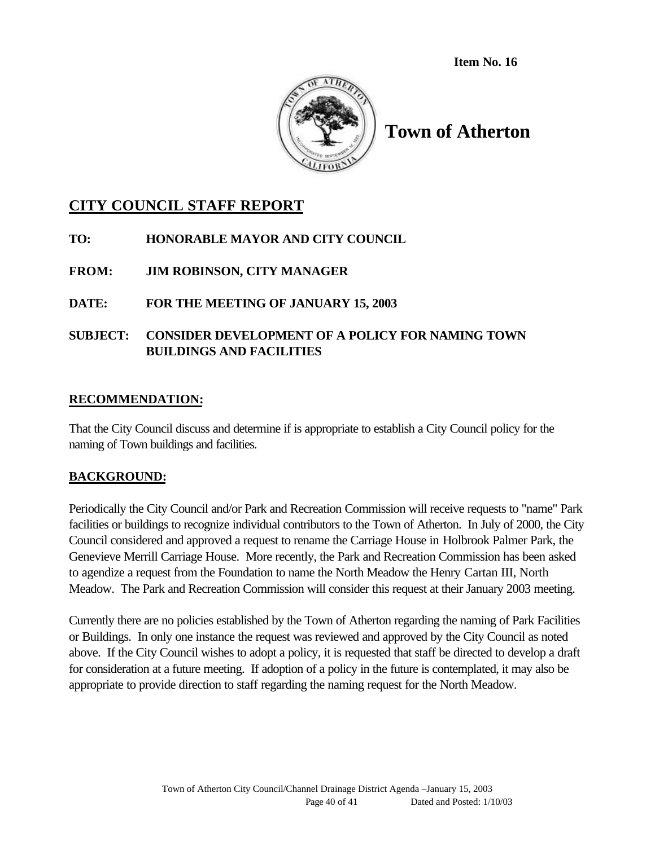**Item No. 16**



# **Town of Atherton**

# **CITY COUNCIL STAFF REPORT**

- **TO: HONORABLE MAYOR AND CITY COUNCIL**
- **FROM: JIM ROBINSON, CITY MANAGER**

# **DATE: FOR THE MEETING OF JANUARY 15, 2003**

# **SUBJECT: CONSIDER DEVELOPMENT OF A POLICY FOR NAMING TOWN BUILDINGS AND FACILITIES**

# **RECOMMENDATION:**

That the City Council discuss and determine if is appropriate to establish a City Council policy for the naming of Town buildings and facilities.

# **BACKGROUND:**

Periodically the City Council and/or Park and Recreation Commission will receive requests to "name" Park facilities or buildings to recognize individual contributors to the Town of Atherton. In July of 2000, the City Council considered and approved a request to rename the Carriage House in Holbrook Palmer Park, the Genevieve Merrill Carriage House. More recently, the Park and Recreation Commission has been asked to agendize a request from the Foundation to name the North Meadow the Henry Cartan III, North Meadow. The Park and Recreation Commission will consider this request at their January 2003 meeting.

Currently there are no policies established by the Town of Atherton regarding the naming of Park Facilities or Buildings. In only one instance the request was reviewed and approved by the City Council as noted above. If the City Council wishes to adopt a policy, it is requested that staff be directed to develop a draft for consideration at a future meeting. If adoption of a policy in the future is contemplated, it may also be appropriate to provide direction to staff regarding the naming request for the North Meadow.